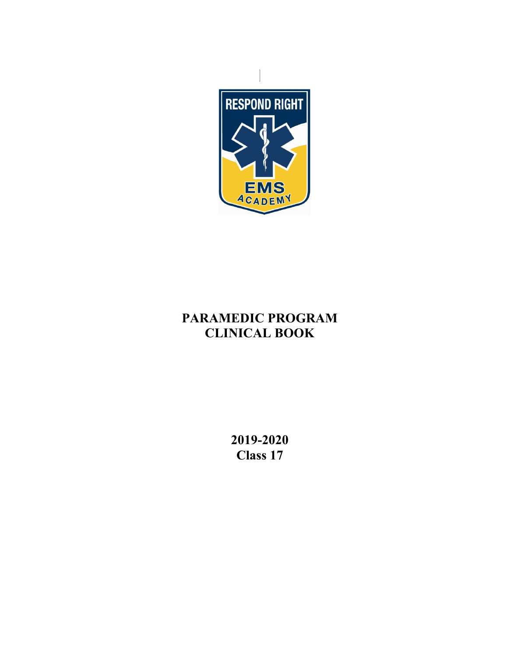

# **PARAMEDIC PROGRAM CLINICAL BOOK**

**2019-2020 Class 17**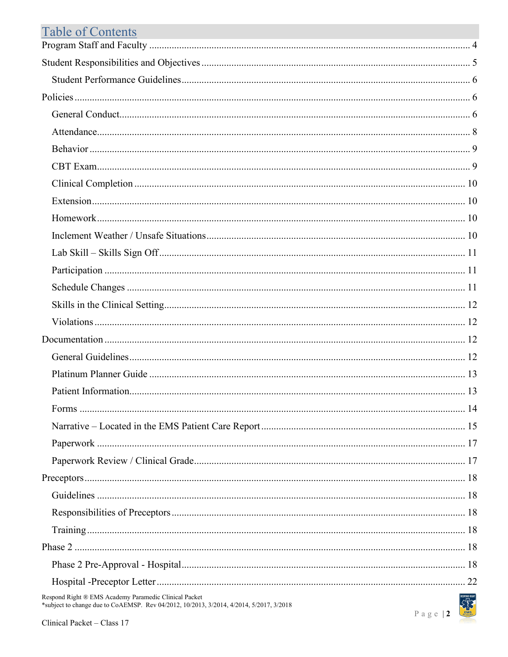| <b>Table of Contents</b> |  |
|--------------------------|--|
|                          |  |
|                          |  |
|                          |  |
|                          |  |
|                          |  |
|                          |  |
|                          |  |
|                          |  |
|                          |  |
|                          |  |
|                          |  |
|                          |  |
|                          |  |
|                          |  |
|                          |  |
|                          |  |
|                          |  |
|                          |  |
|                          |  |
|                          |  |
|                          |  |
|                          |  |
|                          |  |
|                          |  |
|                          |  |
|                          |  |
|                          |  |
|                          |  |
|                          |  |
|                          |  |
|                          |  |
|                          |  |
|                          |  |

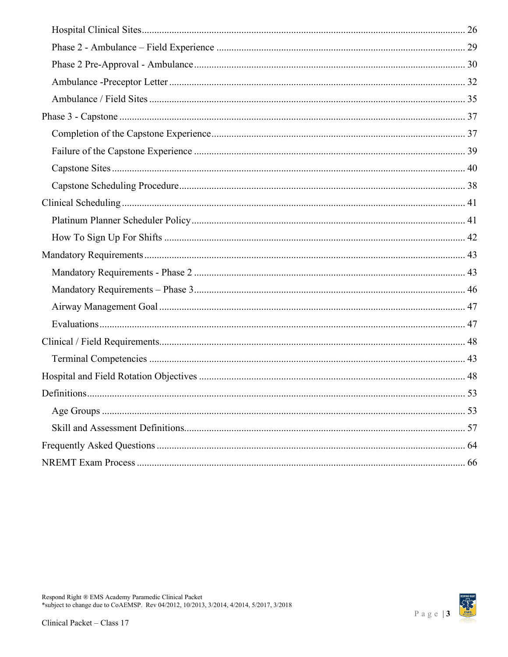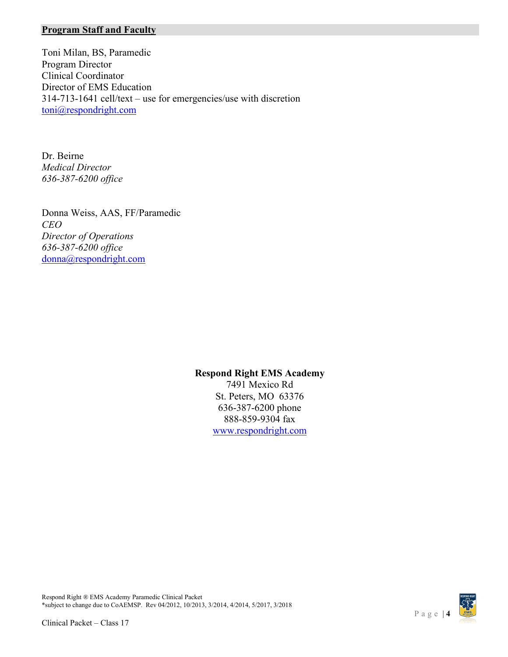### <span id="page-3-0"></span>**Program Staff and Faculty**

Toni Milan, BS, Paramedic Program Director Clinical Coordinator Director of EMS Education 314-713-1641 cell/text – use for emergencies/use with discretion [toni@respondright.com](mailto:toni@respondright.com)

Dr. Beirne *Medical Director 636-387-6200 office*

Donna Weiss, AAS, FF/Paramedic *CEO Director of Operations 636-387-6200 office* donna@respondright.com

### **Respond Right EMS Academy**

7491 Mexico Rd St. Peters, MO 63376 636-387-6200 phone 888-859-9304 fax [www.respondright.com](http://www.respondright.com/)

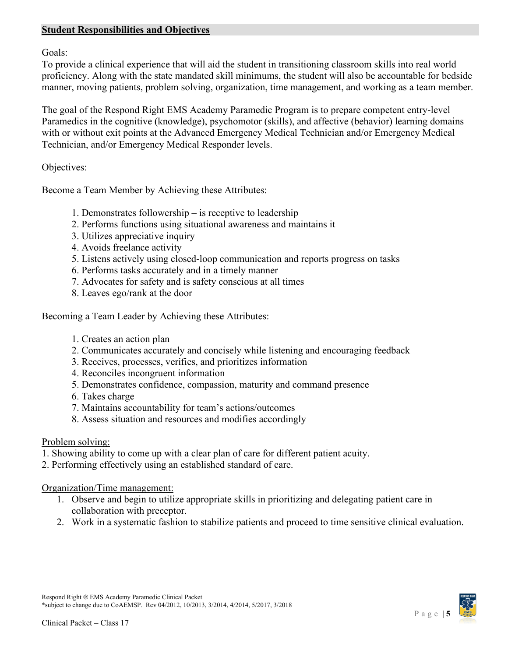### <span id="page-4-0"></span>**Student Responsibilities and Objectives**

Goals:

To provide a clinical experience that will aid the student in transitioning classroom skills into real world proficiency. Along with the state mandated skill minimums, the student will also be accountable for bedside manner, moving patients, problem solving, organization, time management, and working as a team member.

The goal of the Respond Right EMS Academy Paramedic Program is to prepare competent entry-level Paramedics in the cognitive (knowledge), psychomotor (skills), and affective (behavior) learning domains with or without exit points at the Advanced Emergency Medical Technician and/or Emergency Medical Technician, and/or Emergency Medical Responder levels.

Objectives:

Become a Team Member by Achieving these Attributes:

- 1. Demonstrates followership is receptive to leadership
- 2. Performs functions using situational awareness and maintains it
- 3. Utilizes appreciative inquiry
- 4. Avoids freelance activity
- 5. Listens actively using closed-loop communication and reports progress on tasks
- 6. Performs tasks accurately and in a timely manner
- 7. Advocates for safety and is safety conscious at all times
- 8. Leaves ego/rank at the door

Becoming a Team Leader by Achieving these Attributes:

- 1. Creates an action plan
- 2. Communicates accurately and concisely while listening and encouraging feedback
- 3. Receives, processes, verifies, and prioritizes information
- 4. Reconciles incongruent information
- 5. Demonstrates confidence, compassion, maturity and command presence
- 6. Takes charge
- 7. Maintains accountability for team's actions/outcomes
- 8. Assess situation and resources and modifies accordingly

### Problem solving:

- 1. Showing ability to come up with a clear plan of care for different patient acuity.
- 2. Performing effectively using an established standard of care.

Organization/Time management:

- 1. Observe and begin to utilize appropriate skills in prioritizing and delegating patient care in collaboration with preceptor.
- 2. Work in a systematic fashion to stabilize patients and proceed to time sensitive clinical evaluation.

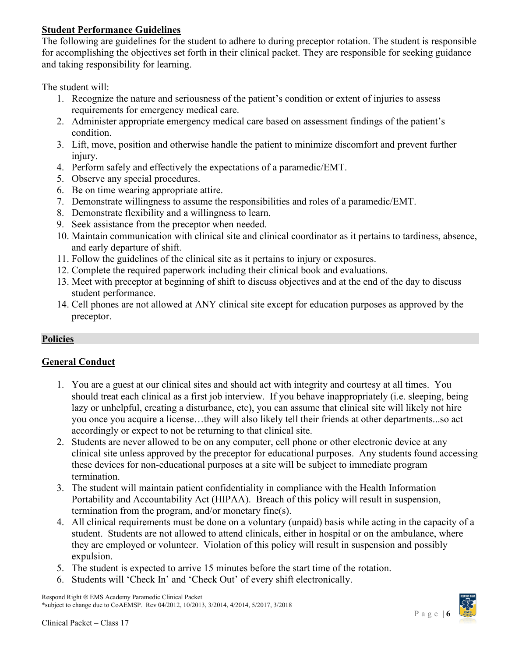# <span id="page-5-0"></span>**Student Performance Guidelines**

The following are guidelines for the student to adhere to during preceptor rotation. The student is responsible for accomplishing the objectives set forth in their clinical packet. They are responsible for seeking guidance and taking responsibility for learning.

The student will:

- 1. Recognize the nature and seriousness of the patient's condition or extent of injuries to assess requirements for emergency medical care.
- 2. Administer appropriate emergency medical care based on assessment findings of the patient's condition.
- 3. Lift, move, position and otherwise handle the patient to minimize discomfort and prevent further injury.
- 4. Perform safely and effectively the expectations of a paramedic/EMT.
- 5. Observe any special procedures.
- 6. Be on time wearing appropriate attire.
- 7. Demonstrate willingness to assume the responsibilities and roles of a paramedic/EMT.
- 8. Demonstrate flexibility and a willingness to learn.
- 9. Seek assistance from the preceptor when needed.
- 10. Maintain communication with clinical site and clinical coordinator as it pertains to tardiness, absence, and early departure of shift.
- 11. Follow the guidelines of the clinical site as it pertains to injury or exposures.
- 12. Complete the required paperwork including their clinical book and evaluations.
- 13. Meet with preceptor at beginning of shift to discuss objectives and at the end of the day to discuss student performance.
- 14. Cell phones are not allowed at ANY clinical site except for education purposes as approved by the preceptor.

# <span id="page-5-1"></span>**Policies**

# <span id="page-5-2"></span>**General Conduct**

- 1. You are a guest at our clinical sites and should act with integrity and courtesy at all times. You should treat each clinical as a first job interview. If you behave inappropriately (i.e. sleeping, being lazy or unhelpful, creating a disturbance, etc), you can assume that clinical site will likely not hire you once you acquire a license…they will also likely tell their friends at other departments...so act accordingly or expect to not be returning to that clinical site.
- 2. Students are never allowed to be on any computer, cell phone or other electronic device at any clinical site unless approved by the preceptor for educational purposes. Any students found accessing these devices for non-educational purposes at a site will be subject to immediate program termination.
- 3. The student will maintain patient confidentiality in compliance with the Health Information Portability and Accountability Act (HIPAA). Breach of this policy will result in suspension, termination from the program, and/or monetary fine(s).
- 4. All clinical requirements must be done on a voluntary (unpaid) basis while acting in the capacity of a student. Students are not allowed to attend clinicals, either in hospital or on the ambulance, where they are employed or volunteer. Violation of this policy will result in suspension and possibly expulsion.
- 5. The student is expected to arrive 15 minutes before the start time of the rotation.
- 6. Students will 'Check In' and 'Check Out' of every shift electronically.

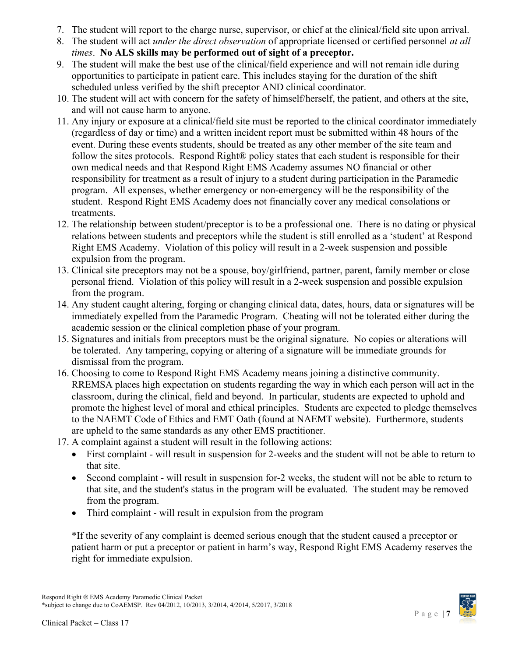- 7. The student will report to the charge nurse, supervisor, or chief at the clinical/field site upon arrival.
- 8. The student will act *under the direct observation* of appropriate licensed or certified personnel *at all times*. **No ALS skills may be performed out of sight of a preceptor.**
- 9. The student will make the best use of the clinical/field experience and will not remain idle during opportunities to participate in patient care. This includes staying for the duration of the shift scheduled unless verified by the shift preceptor AND clinical coordinator.
- 10. The student will act with concern for the safety of himself/herself, the patient, and others at the site, and will not cause harm to anyone.
- 11. Any injury or exposure at a clinical/field site must be reported to the clinical coordinator immediately (regardless of day or time) and a written incident report must be submitted within 48 hours of the event. During these events students, should be treated as any other member of the site team and follow the sites protocols. Respond Right® policy states that each student is responsible for their own medical needs and that Respond Right EMS Academy assumes NO financial or other responsibility for treatment as a result of injury to a student during participation in the Paramedic program. All expenses, whether emergency or non-emergency will be the responsibility of the student. Respond Right EMS Academy does not financially cover any medical consolations or treatments.
- 12. The relationship between student/preceptor is to be a professional one. There is no dating or physical relations between students and preceptors while the student is still enrolled as a 'student' at Respond Right EMS Academy. Violation of this policy will result in a 2-week suspension and possible expulsion from the program.
- 13. Clinical site preceptors may not be a spouse, boy/girlfriend, partner, parent, family member or close personal friend. Violation of this policy will result in a 2-week suspension and possible expulsion from the program.
- 14. Any student caught altering, forging or changing clinical data, dates, hours, data or signatures will be immediately expelled from the Paramedic Program. Cheating will not be tolerated either during the academic session or the clinical completion phase of your program.
- 15. Signatures and initials from preceptors must be the original signature. No copies or alterations will be tolerated. Any tampering, copying or altering of a signature will be immediate grounds for dismissal from the program.
- 16. Choosing to come to Respond Right EMS Academy means joining a distinctive community. RREMSA places high expectation on students regarding the way in which each person will act in the classroom, during the clinical, field and beyond. In particular, students are expected to uphold and promote the highest level of moral and ethical principles. Students are expected to pledge themselves to the NAEMT Code of Ethics and EMT Oath (found at NAEMT website). Furthermore, students are upheld to the same standards as any other EMS practitioner.
- 17. A complaint against a student will result in the following actions:
	- First complaint will result in suspension for 2-weeks and the student will not be able to return to that site.
	- Second complaint will result in suspension for-2 weeks, the student will not be able to return to that site, and the student's status in the program will be evaluated. The student may be removed from the program.
	- Third complaint will result in expulsion from the program

\*If the severity of any complaint is deemed serious enough that the student caused a preceptor or patient harm or put a preceptor or patient in harm's way, Respond Right EMS Academy reserves the right for immediate expulsion.

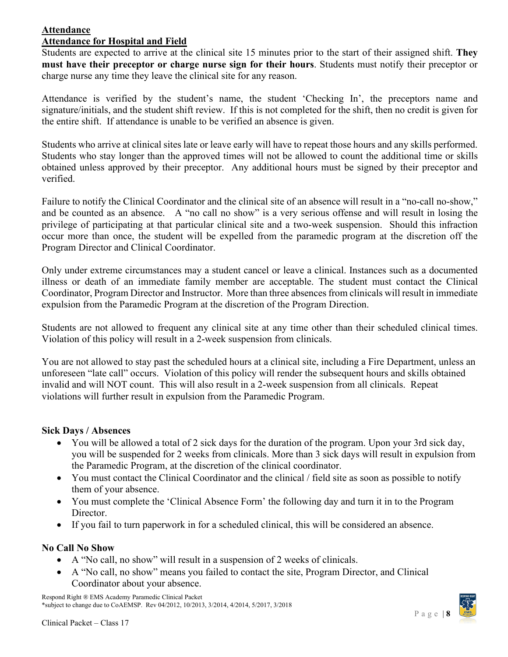# <span id="page-7-0"></span>**Attendance**

### **Attendance for Hospital and Field**

Students are expected to arrive at the clinical site 15 minutes prior to the start of their assigned shift. **They must have their preceptor or charge nurse sign for their hours**. Students must notify their preceptor or charge nurse any time they leave the clinical site for any reason.

Attendance is verified by the student's name, the student 'Checking In', the preceptors name and signature/initials, and the student shift review. If this is not completed for the shift, then no credit is given for the entire shift. If attendance is unable to be verified an absence is given.

Students who arrive at clinical sites late or leave early will have to repeat those hours and any skills performed. Students who stay longer than the approved times will not be allowed to count the additional time or skills obtained unless approved by their preceptor. Any additional hours must be signed by their preceptor and verified.

Failure to notify the Clinical Coordinator and the clinical site of an absence will result in a "no-call no-show," and be counted as an absence. A "no call no show" is a very serious offense and will result in losing the privilege of participating at that particular clinical site and a two-week suspension. Should this infraction occur more than once, the student will be expelled from the paramedic program at the discretion off the Program Director and Clinical Coordinator.

Only under extreme circumstances may a student cancel or leave a clinical. Instances such as a documented illness or death of an immediate family member are acceptable. The student must contact the Clinical Coordinator, Program Director and Instructor. More than three absences from clinicals will result in immediate expulsion from the Paramedic Program at the discretion of the Program Direction.

Students are not allowed to frequent any clinical site at any time other than their scheduled clinical times. Violation of this policy will result in a 2-week suspension from clinicals.

You are not allowed to stay past the scheduled hours at a clinical site, including a Fire Department, unless an unforeseen "late call" occurs. Violation of this policy will render the subsequent hours and skills obtained invalid and will NOT count. This will also result in a 2-week suspension from all clinicals. Repeat violations will further result in expulsion from the Paramedic Program.

### **Sick Days / Absences**

- You will be allowed a total of 2 sick days for the duration of the program. Upon your 3rd sick day, you will be suspended for 2 weeks from clinicals. More than 3 sick days will result in expulsion from the Paramedic Program, at the discretion of the clinical coordinator.
- You must contact the Clinical Coordinator and the clinical / field site as soon as possible to notify them of your absence.
- You must complete the 'Clinical Absence Form' the following day and turn it in to the Program Director.
- If you fail to turn paperwork in for a scheduled clinical, this will be considered an absence.

### **No Call No Show**

- A "No call, no show" will result in a suspension of 2 weeks of clinicals.
- A "No call, no show" means you failed to contact the site, Program Director, and Clinical Coordinator about your absence.

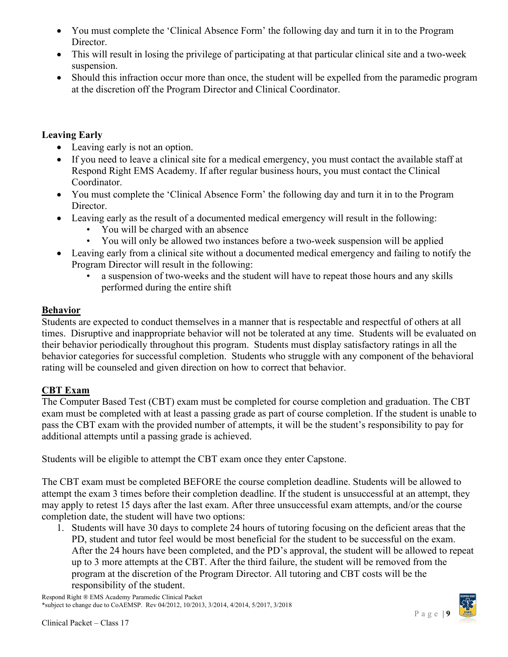- You must complete the 'Clinical Absence Form' the following day and turn it in to the Program Director.
- This will result in losing the privilege of participating at that particular clinical site and a two-week suspension.
- Should this infraction occur more than once, the student will be expelled from the paramedic program at the discretion off the Program Director and Clinical Coordinator.

# **Leaving Early**

- Leaving early is not an option.
- If you need to leave a clinical site for a medical emergency, you must contact the available staff at Respond Right EMS Academy. If after regular business hours, you must contact the Clinical Coordinator.
- You must complete the 'Clinical Absence Form' the following day and turn it in to the Program Director.
- Leaving early as the result of a documented medical emergency will result in the following:
	- You will be charged with an absence
	- You will only be allowed two instances before a two-week suspension will be applied
- Leaving early from a clinical site without a documented medical emergency and failing to notify the Program Director will result in the following:
	- a suspension of two-weeks and the student will have to repeat those hours and any skills performed during the entire shift

# <span id="page-8-0"></span>**Behavior**

Students are expected to conduct themselves in a manner that is respectable and respectful of others at all times. Disruptive and inappropriate behavior will not be tolerated at any time. Students will be evaluated on their behavior periodically throughout this program. Students must display satisfactory ratings in all the behavior categories for successful completion. Students who struggle with any component of the behavioral rating will be counseled and given direction on how to correct that behavior.

# <span id="page-8-1"></span>**CBT Exam**

The Computer Based Test (CBT) exam must be completed for course completion and graduation. The CBT exam must be completed with at least a passing grade as part of course completion. If the student is unable to pass the CBT exam with the provided number of attempts, it will be the student's responsibility to pay for additional attempts until a passing grade is achieved.

Students will be eligible to attempt the CBT exam once they enter Capstone.

The CBT exam must be completed BEFORE the course completion deadline. Students will be allowed to attempt the exam 3 times before their completion deadline. If the student is unsuccessful at an attempt, they may apply to retest 15 days after the last exam. After three unsuccessful exam attempts, and/or the course completion date, the student will have two options:

1. Students will have 30 days to complete 24 hours of tutoring focusing on the deficient areas that the PD, student and tutor feel would be most beneficial for the student to be successful on the exam. After the 24 hours have been completed, and the PD's approval, the student will be allowed to repeat up to 3 more attempts at the CBT. After the third failure, the student will be removed from the program at the discretion of the Program Director. All tutoring and CBT costs will be the responsibility of the student.

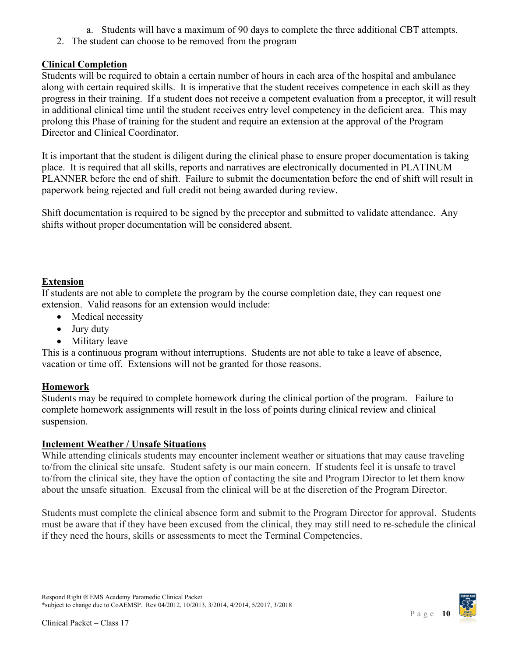- a. Students will have a maximum of 90 days to complete the three additional CBT attempts.
- 2. The student can choose to be removed from the program

# <span id="page-9-0"></span>**Clinical Completion**

Students will be required to obtain a certain number of hours in each area of the hospital and ambulance along with certain required skills. It is imperative that the student receives competence in each skill as they progress in their training. If a student does not receive a competent evaluation from a preceptor, it will result in additional clinical time until the student receives entry level competency in the deficient area. This may prolong this Phase of training for the student and require an extension at the approval of the Program Director and Clinical Coordinator.

It is important that the student is diligent during the clinical phase to ensure proper documentation is taking place. It is required that all skills, reports and narratives are electronically documented in PLATINUM PLANNER before the end of shift. Failure to submit the documentation before the end of shift will result in paperwork being rejected and full credit not being awarded during review.

Shift documentation is required to be signed by the preceptor and submitted to validate attendance. Any shifts without proper documentation will be considered absent.

# <span id="page-9-1"></span>**Extension**

If students are not able to complete the program by the course completion date, they can request one extension. Valid reasons for an extension would include:

- Medical necessity
- Jury duty
- Military leave

This is a continuous program without interruptions. Students are not able to take a leave of absence, vacation or time off. Extensions will not be granted for those reasons.

# <span id="page-9-2"></span>**Homework**

Students may be required to complete homework during the clinical portion of the program. Failure to complete homework assignments will result in the loss of points during clinical review and clinical suspension.

# <span id="page-9-3"></span>**Inclement Weather / Unsafe Situations**

While attending clinicals students may encounter inclement weather or situations that may cause traveling to/from the clinical site unsafe. Student safety is our main concern. If students feel it is unsafe to travel to/from the clinical site, they have the option of contacting the site and Program Director to let them know about the unsafe situation. Excusal from the clinical will be at the discretion of the Program Director.

Students must complete the clinical absence form and submit to the Program Director for approval. Students must be aware that if they have been excused from the clinical, they may still need to re-schedule the clinical if they need the hours, skills or assessments to meet the Terminal Competencies.

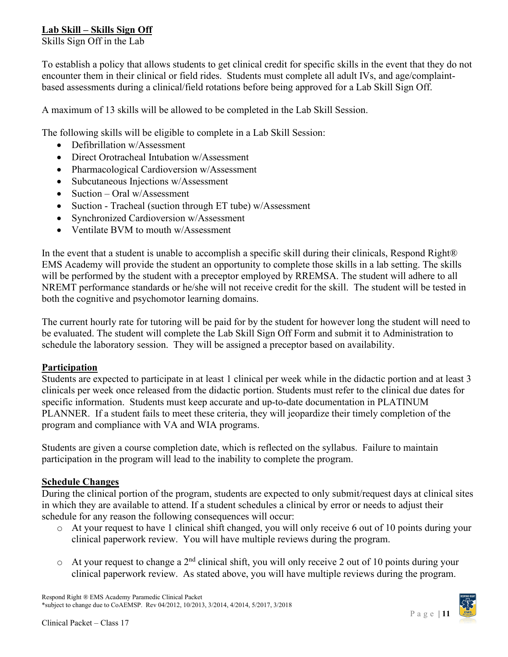# <span id="page-10-0"></span>**Lab Skill – Skills Sign Off**

Skills Sign Off in the Lab

To establish a policy that allows students to get clinical credit for specific skills in the event that they do not encounter them in their clinical or field rides. Students must complete all adult IVs, and age/complaintbased assessments during a clinical/field rotations before being approved for a Lab Skill Sign Off.

A maximum of 13 skills will be allowed to be completed in the Lab Skill Session.

The following skills will be eligible to complete in a Lab Skill Session:

- Defibrillation w/Assessment
- Direct Orotracheal Intubation w/Assessment
- Pharmacological Cardioversion w/Assessment
- Subcutaneous Injections w/Assessment
- Suction Oral w/Assessment
- Suction Tracheal (suction through ET tube) w/Assessment
- Synchronized Cardioversion w/Assessment
- Ventilate BVM to mouth w/Assessment

In the event that a student is unable to accomplish a specific skill during their clinicals, Respond Right® EMS Academy will provide the student an opportunity to complete those skills in a lab setting. The skills will be performed by the student with a preceptor employed by RREMSA. The student will adhere to all NREMT performance standards or he/she will not receive credit for the skill. The student will be tested in both the cognitive and psychomotor learning domains.

The current hourly rate for tutoring will be paid for by the student for however long the student will need to be evaluated. The student will complete the Lab Skill Sign Off Form and submit it to Administration to schedule the laboratory session. They will be assigned a preceptor based on availability.

### <span id="page-10-1"></span>**Participation**

Students are expected to participate in at least 1 clinical per week while in the didactic portion and at least 3 clinicals per week once released from the didactic portion. Students must refer to the clinical due dates for specific information. Students must keep accurate and up-to-date documentation in PLATINUM PLANNER. If a student fails to meet these criteria, they will jeopardize their timely completion of the program and compliance with VA and WIA programs.

Students are given a course completion date, which is reflected on the syllabus. Failure to maintain participation in the program will lead to the inability to complete the program.

### <span id="page-10-2"></span>**Schedule Changes**

During the clinical portion of the program, students are expected to only submit/request days at clinical sites in which they are available to attend. If a student schedules a clinical by error or needs to adjust their schedule for any reason the following consequences will occur:

- o At your request to have 1 clinical shift changed, you will only receive 6 out of 10 points during your clinical paperwork review. You will have multiple reviews during the program.
- $\circ$  At your request to change a 2<sup>nd</sup> clinical shift, you will only receive 2 out of 10 points during your clinical paperwork review. As stated above, you will have multiple reviews during the program.

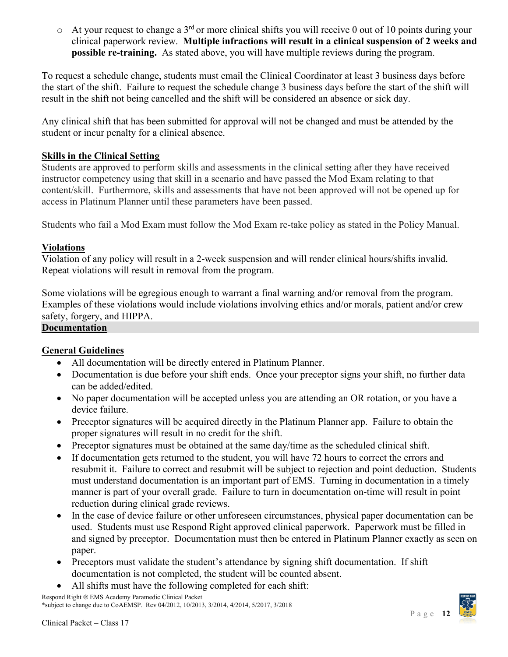$\circ$  At vour request to change a 3<sup>rd</sup> or more clinical shifts you will receive 0 out of 10 points during your clinical paperwork review. **Multiple infractions will result in a clinical suspension of 2 weeks and possible re-training.** As stated above, you will have multiple reviews during the program.

To request a schedule change, students must email the Clinical Coordinator at least 3 business days before the start of the shift. Failure to request the schedule change 3 business days before the start of the shift will result in the shift not being cancelled and the shift will be considered an absence or sick day.

Any clinical shift that has been submitted for approval will not be changed and must be attended by the student or incur penalty for a clinical absence.

### <span id="page-11-0"></span>**Skills in the Clinical Setting**

Students are approved to perform skills and assessments in the clinical setting after they have received instructor competency using that skill in a scenario and have passed the Mod Exam relating to that content/skill. Furthermore, skills and assessments that have not been approved will not be opened up for access in Platinum Planner until these parameters have been passed.

Students who fail a Mod Exam must follow the Mod Exam re-take policy as stated in the Policy Manual.

### <span id="page-11-1"></span>**Violations**

Violation of any policy will result in a 2-week suspension and will render clinical hours/shifts invalid. Repeat violations will result in removal from the program.

Some violations will be egregious enough to warrant a final warning and/or removal from the program. Examples of these violations would include violations involving ethics and/or morals, patient and/or crew safety, forgery, and HIPPA.

### <span id="page-11-2"></span>**Documentation**

### <span id="page-11-3"></span>**General Guidelines**

- All documentation will be directly entered in Platinum Planner.
- Documentation is due before your shift ends. Once your preceptor signs your shift, no further data can be added/edited.
- No paper documentation will be accepted unless you are attending an OR rotation, or you have a device failure.
- Preceptor signatures will be acquired directly in the Platinum Planner app. Failure to obtain the proper signatures will result in no credit for the shift.
- Preceptor signatures must be obtained at the same day/time as the scheduled clinical shift.
- If documentation gets returned to the student, you will have 72 hours to correct the errors and resubmit it. Failure to correct and resubmit will be subject to rejection and point deduction. Students must understand documentation is an important part of EMS. Turning in documentation in a timely manner is part of your overall grade. Failure to turn in documentation on-time will result in point reduction during clinical grade reviews.
- In the case of device failure or other unforeseen circumstances, physical paper documentation can be used. Students must use Respond Right approved clinical paperwork. Paperwork must be filled in and signed by preceptor. Documentation must then be entered in Platinum Planner exactly as seen on paper.
- Preceptors must validate the student's attendance by signing shift documentation. If shift documentation is not completed, the student will be counted absent.
- All shifts must have the following completed for each shift:

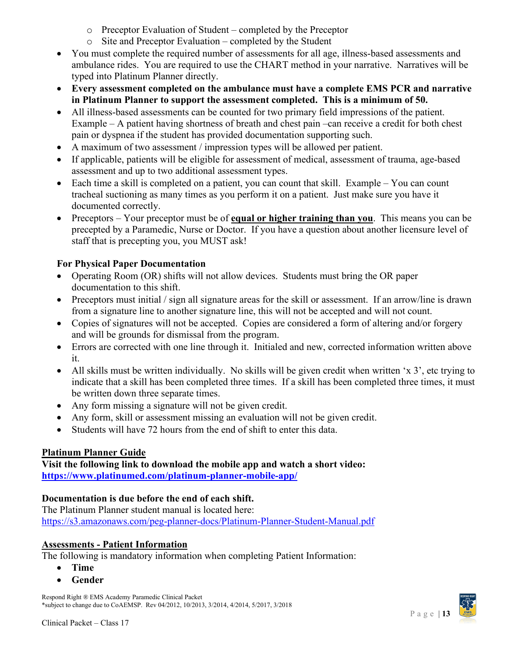- o Preceptor Evaluation of Student completed by the Preceptor
- o Site and Preceptor Evaluation completed by the Student
- You must complete the required number of assessments for all age, illness-based assessments and ambulance rides. You are required to use the CHART method in your narrative. Narratives will be typed into Platinum Planner directly.
- **Every assessment completed on the ambulance must have a complete EMS PCR and narrative in Platinum Planner to support the assessment completed. This is a minimum of 50.**
- All illness-based assessments can be counted for two primary field impressions of the patient. Example – A patient having shortness of breath and chest pain –can receive a credit for both chest pain or dyspnea if the student has provided documentation supporting such.
- A maximum of two assessment / impression types will be allowed per patient.
- If applicable, patients will be eligible for assessment of medical, assessment of trauma, age-based assessment and up to two additional assessment types.
- Each time a skill is completed on a patient, you can count that skill. Example You can count tracheal suctioning as many times as you perform it on a patient. Just make sure you have it documented correctly.
- Preceptors Your preceptor must be of **equal or higher training than you**. This means you can be precepted by a Paramedic, Nurse or Doctor. If you have a question about another licensure level of staff that is precepting you, you MUST ask!

# **For Physical Paper Documentation**

- Operating Room (OR) shifts will not allow devices. Students must bring the OR paper documentation to this shift.
- Preceptors must initial / sign all signature areas for the skill or assessment. If an arrow/line is drawn from a signature line to another signature line, this will not be accepted and will not count.
- Copies of signatures will not be accepted. Copies are considered a form of altering and/or forgery and will be grounds for dismissal from the program.
- Errors are corrected with one line through it. Initialed and new, corrected information written above it.
- All skills must be written individually. No skills will be given credit when written 'x 3', etc trying to indicate that a skill has been completed three times. If a skill has been completed three times, it must be written down three separate times.
- Any form missing a signature will not be given credit.
- Any form, skill or assessment missing an evaluation will not be given credit.
- Students will have 72 hours from the end of shift to enter this data.

# <span id="page-12-0"></span>**Platinum Planner Guide**

**Visit the following link to download the mobile app and watch a short video: <https://www.platinumed.com/platinum-planner-mobile-app/>**

# **Documentation is due before the end of each shift.**

The Platinum Planner student manual is located here: <https://s3.amazonaws.com/peg-planner-docs/Platinum-Planner-Student-Manual.pdf>

# <span id="page-12-1"></span>**Assessments - Patient Information**

The following is mandatory information when completing Patient Information:

- **Time**
- **Gender**

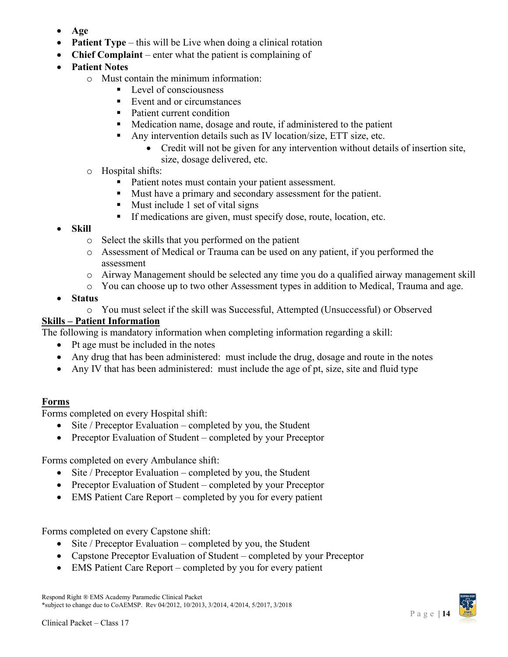- **Age**
- **Patient Type** this will be Live when doing a clinical rotation
- **Chief Complaint** enter what the patient is complaining of
- **Patient Notes**
	- o Must contain the minimum information:
		- $\blacksquare$  Level of consciousness
		- Event and or circumstances
		- Patient current condition
		- Medication name, dosage and route, if administered to the patient
		- Any intervention details such as IV location/size, ETT size, etc.
			- Credit will not be given for any intervention without details of insertion site, size, dosage delivered, etc.
		- o Hospital shifts:
			- Patient notes must contain your patient assessment.
			- **Must have a primary and secondary assessment for the patient.**
			- $\blacksquare$  Must include 1 set of vital signs
			- If medications are given, must specify dose, route, location, etc.
- **Skill**
	- o Select the skills that you performed on the patient
	- o Assessment of Medical or Trauma can be used on any patient, if you performed the assessment
	- o Airway Management should be selected any time you do a qualified airway management skill
	- o You can choose up to two other Assessment types in addition to Medical, Trauma and age.
- **Status**
	- o You must select if the skill was Successful, Attempted (Unsuccessful) or Observed

# <span id="page-13-0"></span>**Skills – Patient Information**

The following is mandatory information when completing information regarding a skill:

- Pt age must be included in the notes
- Any drug that has been administered: must include the drug, dosage and route in the notes
- Any IV that has been administered: must include the age of pt, size, site and fluid type

# **Forms**

Forms completed on every Hospital shift:

- Site / Preceptor Evaluation completed by you, the Student
- Preceptor Evaluation of Student completed by your Preceptor

Forms completed on every Ambulance shift:

- Site / Preceptor Evaluation completed by you, the Student
- Preceptor Evaluation of Student completed by your Preceptor
- EMS Patient Care Report completed by you for every patient

Forms completed on every Capstone shift:

- Site / Preceptor Evaluation completed by you, the Student
- Capstone Preceptor Evaluation of Student completed by your Preceptor
- EMS Patient Care Report completed by you for every patient

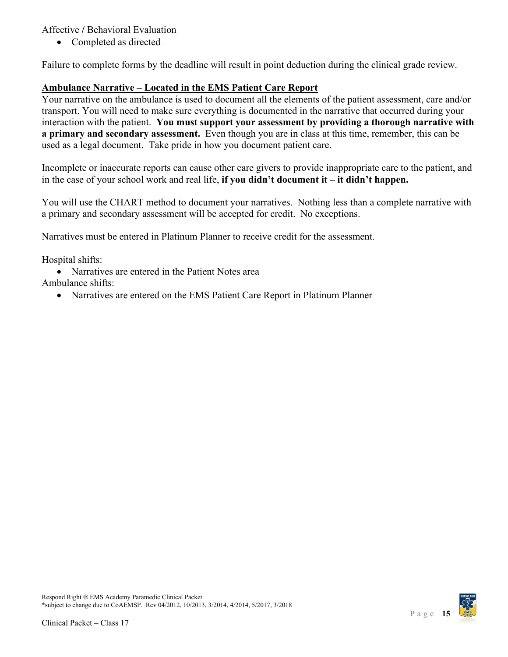Affective **/** Behavioral Evaluation

• Completed as directed

Failure to complete forms by the deadline will result in point deduction during the clinical grade review.

# <span id="page-14-0"></span>**Ambulance Narrative – Located in the EMS Patient Care Report**

Your narrative on the ambulance is used to document all the elements of the patient assessment, care and/or transport. You will need to make sure everything is documented in the narrative that occurred during your interaction with the patient. **You must support your assessment by providing a thorough narrative with a primary and secondary assessment.** Even though you are in class at this time, remember, this can be used as a legal document. Take pride in how you document patient care.

Incomplete or inaccurate reports can cause other care givers to provide inappropriate care to the patient, and in the case of your school work and real life, **if you didn't document it – it didn't happen.**

You will use the CHART method to document your narratives. Nothing less than a complete narrative with a primary and secondary assessment will be accepted for credit. No exceptions.

Narratives must be entered in Platinum Planner to receive credit for the assessment.

Hospital shifts:

• Narratives are entered in the Patient Notes area

Ambulance shifts:

• Narratives are entered on the EMS Patient Care Report in Platinum Planner

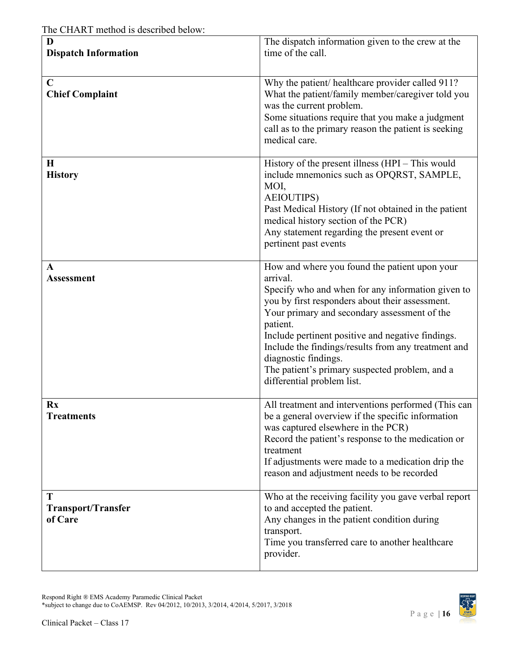| D<br><b>Dispatch Information</b>          | The dispatch information given to the crew at the<br>time of the call.                                                                                                                                                                                                                                                                                                                                                                            |
|-------------------------------------------|---------------------------------------------------------------------------------------------------------------------------------------------------------------------------------------------------------------------------------------------------------------------------------------------------------------------------------------------------------------------------------------------------------------------------------------------------|
| $\mathbf C$<br><b>Chief Complaint</b>     | Why the patient/ healthcare provider called 911?<br>What the patient/family member/caregiver told you<br>was the current problem.<br>Some situations require that you make a judgment<br>call as to the primary reason the patient is seeking<br>medical care.                                                                                                                                                                                    |
| H<br><b>History</b>                       | History of the present illness (HPI – This would<br>include mnemonics such as OPQRST, SAMPLE,<br>MOI,<br><b>AEIOUTIPS)</b><br>Past Medical History (If not obtained in the patient<br>medical history section of the PCR)<br>Any statement regarding the present event or<br>pertinent past events                                                                                                                                                |
| A<br><b>Assessment</b>                    | How and where you found the patient upon your<br>arrival.<br>Specify who and when for any information given to<br>you by first responders about their assessment.<br>Your primary and secondary assessment of the<br>patient.<br>Include pertinent positive and negative findings.<br>Include the findings/results from any treatment and<br>diagnostic findings.<br>The patient's primary suspected problem, and a<br>differential problem list. |
| Rx<br><b>Treatments</b>                   | All treatment and interventions performed (This can<br>be a general overview if the specific information<br>was captured elsewhere in the PCR)<br>Record the patient's response to the medication or<br>treatment<br>If adjustments were made to a medication drip the<br>reason and adjustment needs to be recorded                                                                                                                              |
| T<br><b>Transport/Transfer</b><br>of Care | Who at the receiving facility you gave verbal report<br>to and accepted the patient.<br>Any changes in the patient condition during<br>transport.<br>Time you transferred care to another healthcare<br>provider.                                                                                                                                                                                                                                 |

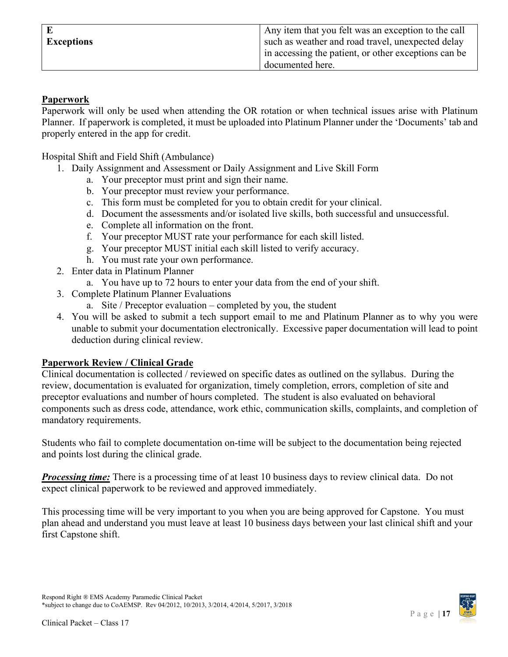|                   | Any item that you felt was an exception to the call  |
|-------------------|------------------------------------------------------|
| <b>Exceptions</b> | such as weather and road travel, unexpected delay    |
|                   | in accessing the patient, or other exceptions can be |
|                   | documented here.                                     |

### <span id="page-16-0"></span>**Paperwork**

Paperwork will only be used when attending the OR rotation or when technical issues arise with Platinum Planner. If paperwork is completed, it must be uploaded into Platinum Planner under the 'Documents' tab and properly entered in the app for credit.

Hospital Shift and Field Shift (Ambulance)

- 1. Daily Assignment and Assessment or Daily Assignment and Live Skill Form
	- a. Your preceptor must print and sign their name.
	- b. Your preceptor must review your performance.
	- c. This form must be completed for you to obtain credit for your clinical.
	- d. Document the assessments and/or isolated live skills, both successful and unsuccessful.
	- e. Complete all information on the front.
	- f. Your preceptor MUST rate your performance for each skill listed.
	- g. Your preceptor MUST initial each skill listed to verify accuracy.
	- h. You must rate your own performance.
- 2. Enter data in Platinum Planner
	- a. You have up to 72 hours to enter your data from the end of your shift.
- 3. Complete Platinum Planner Evaluations
	- a. Site / Preceptor evaluation completed by you, the student
- 4. You will be asked to submit a tech support email to me and Platinum Planner as to why you were unable to submit your documentation electronically. Excessive paper documentation will lead to point deduction during clinical review.

### <span id="page-16-1"></span>**Paperwork Review / Clinical Grade**

Clinical documentation is collected / reviewed on specific dates as outlined on the syllabus. During the review, documentation is evaluated for organization, timely completion, errors, completion of site and preceptor evaluations and number of hours completed. The student is also evaluated on behavioral components such as dress code, attendance, work ethic, communication skills, complaints, and completion of mandatory requirements.

Students who fail to complete documentation on-time will be subject to the documentation being rejected and points lost during the clinical grade.

*Processing time:* There is a processing time of at least 10 business days to review clinical data. Do not expect clinical paperwork to be reviewed and approved immediately.

This processing time will be very important to you when you are being approved for Capstone. You must plan ahead and understand you must leave at least 10 business days between your last clinical shift and your first Capstone shift.

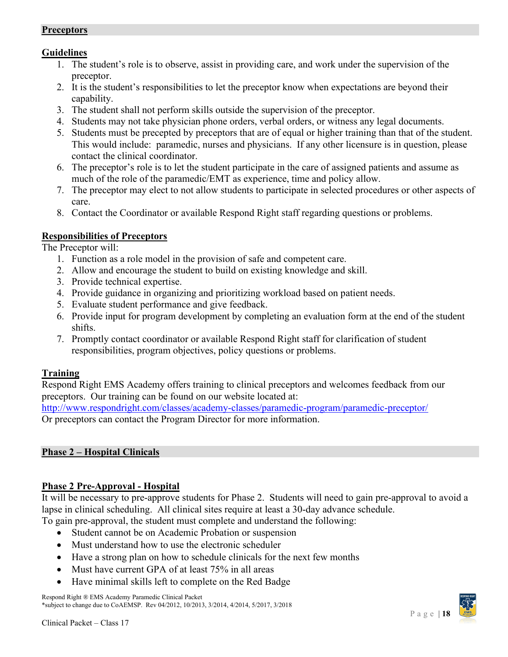### <span id="page-17-0"></span>**Preceptors**

# <span id="page-17-1"></span>**Guidelines**

- 1. The student's role is to observe, assist in providing care, and work under the supervision of the preceptor.
- 2. It is the student's responsibilities to let the preceptor know when expectations are beyond their capability.
- 3. The student shall not perform skills outside the supervision of the preceptor.
- 4. Students may not take physician phone orders, verbal orders, or witness any legal documents.
- 5. Students must be precepted by preceptors that are of equal or higher training than that of the student. This would include: paramedic, nurses and physicians. If any other licensure is in question, please contact the clinical coordinator.
- 6. The preceptor's role is to let the student participate in the care of assigned patients and assume as much of the role of the paramedic/EMT as experience, time and policy allow.
- 7. The preceptor may elect to not allow students to participate in selected procedures or other aspects of care.
- 8. Contact the Coordinator or available Respond Right staff regarding questions or problems.

# <span id="page-17-2"></span>**Responsibilities of Preceptors**

The Preceptor will:

- 1. Function as a role model in the provision of safe and competent care.
- 2. Allow and encourage the student to build on existing knowledge and skill.
- 3. Provide technical expertise.
- 4. Provide guidance in organizing and prioritizing workload based on patient needs.
- 5. Evaluate student performance and give feedback.
- 6. Provide input for program development by completing an evaluation form at the end of the student shifts.
- 7. Promptly contact coordinator or available Respond Right staff for clarification of student responsibilities, program objectives, policy questions or problems.

# <span id="page-17-3"></span>**Training**

Respond Right EMS Academy offers training to clinical preceptors and welcomes feedback from our preceptors. Our training can be found on our website located at:

<http://www.respondright.com/classes/academy-classes/paramedic-program/paramedic-preceptor/> Or preceptors can contact the Program Director for more information.

# <span id="page-17-4"></span>**Phase 2 – Hospital Clinicals**

# <span id="page-17-5"></span>**Phase 2 Pre-Approval - Hospital**

It will be necessary to pre-approve students for Phase 2. Students will need to gain pre-approval to avoid a lapse in clinical scheduling. All clinical sites require at least a 30-day advance schedule.

To gain pre-approval, the student must complete and understand the following:

- Student cannot be on Academic Probation or suspension
- Must understand how to use the electronic scheduler
- Have a strong plan on how to schedule clinicals for the next few months
- Must have current GPA of at least 75% in all areas
- Have minimal skills left to complete on the Red Badge

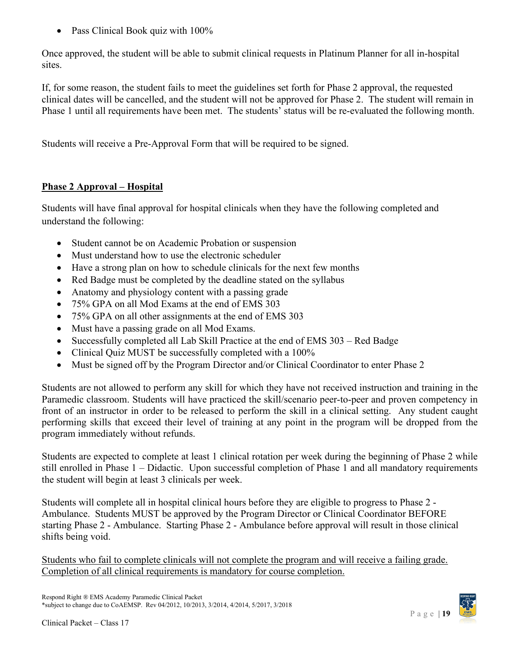• Pass Clinical Book quiz with 100%

Once approved, the student will be able to submit clinical requests in Platinum Planner for all in-hospital sites.

If, for some reason, the student fails to meet the guidelines set forth for Phase 2 approval, the requested clinical dates will be cancelled, and the student will not be approved for Phase 2. The student will remain in Phase 1 until all requirements have been met. The students' status will be re-evaluated the following month.

Students will receive a Pre-Approval Form that will be required to be signed.

# **Phase 2 Approval – Hospital**

Students will have final approval for hospital clinicals when they have the following completed and understand the following:

- Student cannot be on Academic Probation or suspension
- Must understand how to use the electronic scheduler
- Have a strong plan on how to schedule clinicals for the next few months
- Red Badge must be completed by the deadline stated on the syllabus
- Anatomy and physiology content with a passing grade
- 75% GPA on all Mod Exams at the end of EMS 303
- 75% GPA on all other assignments at the end of EMS 303
- Must have a passing grade on all Mod Exams.
- Successfully completed all Lab Skill Practice at the end of EMS 303 Red Badge
- Clinical Quiz MUST be successfully completed with a 100%
- Must be signed off by the Program Director and/or Clinical Coordinator to enter Phase 2

Students are not allowed to perform any skill for which they have not received instruction and training in the Paramedic classroom. Students will have practiced the skill/scenario peer-to-peer and proven competency in front of an instructor in order to be released to perform the skill in a clinical setting. Any student caught performing skills that exceed their level of training at any point in the program will be dropped from the program immediately without refunds.

Students are expected to complete at least 1 clinical rotation per week during the beginning of Phase 2 while still enrolled in Phase 1 – Didactic. Upon successful completion of Phase 1 and all mandatory requirements the student will begin at least 3 clinicals per week.

Students will complete all in hospital clinical hours before they are eligible to progress to Phase 2 - Ambulance. Students MUST be approved by the Program Director or Clinical Coordinator BEFORE starting Phase 2 - Ambulance. Starting Phase 2 - Ambulance before approval will result in those clinical shifts being void.

Students who fail to complete clinicals will not complete the program and will receive a failing grade. Completion of all clinical requirements is mandatory for course completion.

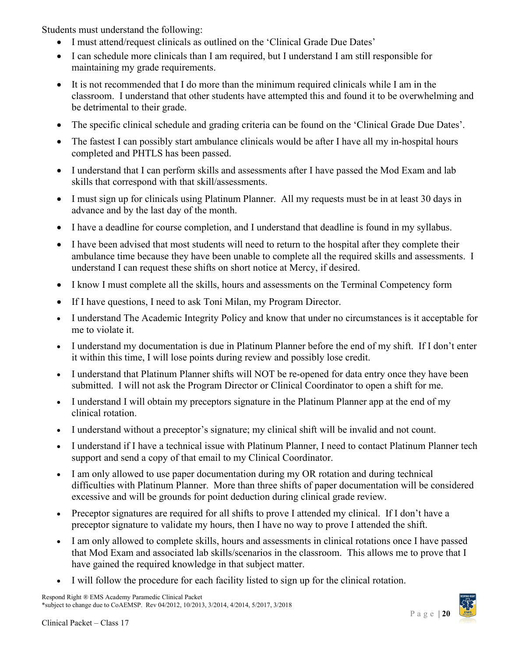Students must understand the following:

- I must attend/request clinicals as outlined on the 'Clinical Grade Due Dates'
- I can schedule more clinicals than I am required, but I understand I am still responsible for maintaining my grade requirements.
- It is not recommended that I do more than the minimum required clinicals while I am in the classroom. I understand that other students have attempted this and found it to be overwhelming and be detrimental to their grade.
- The specific clinical schedule and grading criteria can be found on the 'Clinical Grade Due Dates'.
- The fastest I can possibly start ambulance clinicals would be after I have all my in-hospital hours completed and PHTLS has been passed.
- I understand that I can perform skills and assessments after I have passed the Mod Exam and lab skills that correspond with that skill/assessments.
- I must sign up for clinicals using Platinum Planner. All my requests must be in at least 30 days in advance and by the last day of the month.
- I have a deadline for course completion, and I understand that deadline is found in my syllabus.
- I have been advised that most students will need to return to the hospital after they complete their ambulance time because they have been unable to complete all the required skills and assessments. I understand I can request these shifts on short notice at Mercy, if desired.
- I know I must complete all the skills, hours and assessments on the Terminal Competency form
- If I have questions, I need to ask Toni Milan, my Program Director.
- I understand The Academic Integrity Policy and know that under no circumstances is it acceptable for me to violate it.
- I understand my documentation is due in Platinum Planner before the end of my shift. If I don't enter it within this time, I will lose points during review and possibly lose credit.
- I understand that Platinum Planner shifts will NOT be re-opened for data entry once they have been submitted. I will not ask the Program Director or Clinical Coordinator to open a shift for me.
- I understand I will obtain my preceptors signature in the Platinum Planner app at the end of my clinical rotation.
- I understand without a preceptor's signature; my clinical shift will be invalid and not count.
- I understand if I have a technical issue with Platinum Planner, I need to contact Platinum Planner tech support and send a copy of that email to my Clinical Coordinator.
- I am only allowed to use paper documentation during my OR rotation and during technical difficulties with Platinum Planner. More than three shifts of paper documentation will be considered excessive and will be grounds for point deduction during clinical grade review.
- Preceptor signatures are required for all shifts to prove I attended my clinical. If I don't have a preceptor signature to validate my hours, then I have no way to prove I attended the shift.
- I am only allowed to complete skills, hours and assessments in clinical rotations once I have passed that Mod Exam and associated lab skills/scenarios in the classroom. This allows me to prove that I have gained the required knowledge in that subject matter.
- I will follow the procedure for each facility listed to sign up for the clinical rotation.

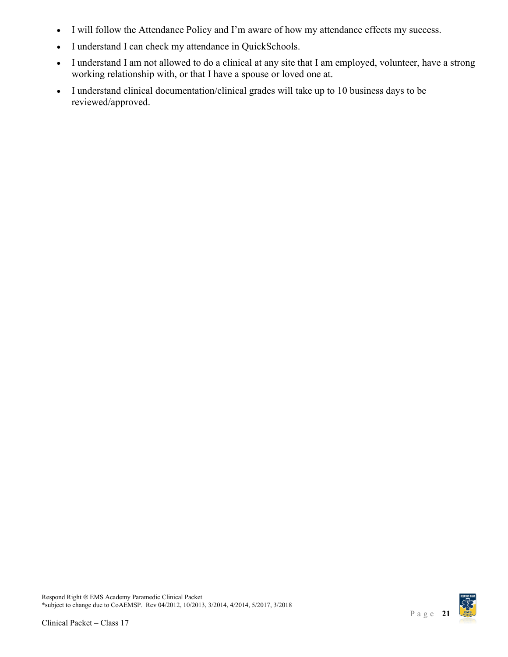- I will follow the Attendance Policy and I'm aware of how my attendance effects my success.
- I understand I can check my attendance in QuickSchools.
- I understand I am not allowed to do a clinical at any site that I am employed, volunteer, have a strong working relationship with, or that I have a spouse or loved one at.
- I understand clinical documentation/clinical grades will take up to 10 business days to be reviewed/approved.

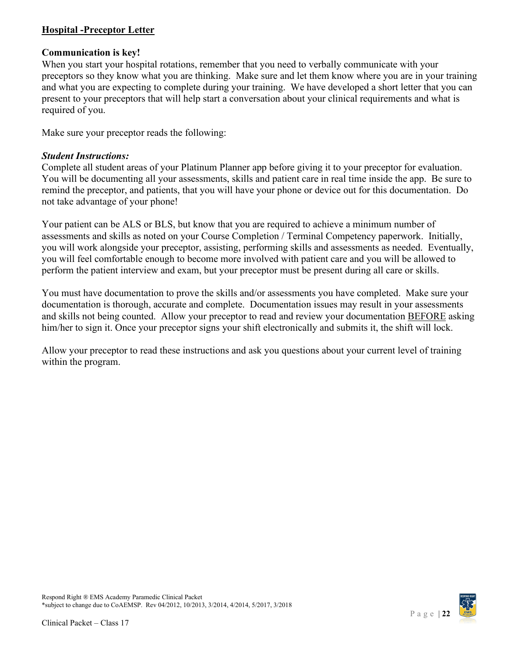# <span id="page-21-0"></span>**Hospital -Preceptor Letter**

### **Communication is key!**

When you start your hospital rotations, remember that you need to verbally communicate with your preceptors so they know what you are thinking. Make sure and let them know where you are in your training and what you are expecting to complete during your training. We have developed a short letter that you can present to your preceptors that will help start a conversation about your clinical requirements and what is required of you.

Make sure your preceptor reads the following:

### *Student Instructions:*

Complete all student areas of your Platinum Planner app before giving it to your preceptor for evaluation. You will be documenting all your assessments, skills and patient care in real time inside the app. Be sure to remind the preceptor, and patients, that you will have your phone or device out for this documentation. Do not take advantage of your phone!

Your patient can be ALS or BLS, but know that you are required to achieve a minimum number of assessments and skills as noted on your Course Completion / Terminal Competency paperwork. Initially, you will work alongside your preceptor, assisting, performing skills and assessments as needed. Eventually, you will feel comfortable enough to become more involved with patient care and you will be allowed to perform the patient interview and exam, but your preceptor must be present during all care or skills.

You must have documentation to prove the skills and/or assessments you have completed. Make sure your documentation is thorough, accurate and complete. Documentation issues may result in your assessments and skills not being counted. Allow your preceptor to read and review your documentation BEFORE asking him/her to sign it. Once your preceptor signs your shift electronically and submits it, the shift will lock.

Allow your preceptor to read these instructions and ask you questions about your current level of training within the program.

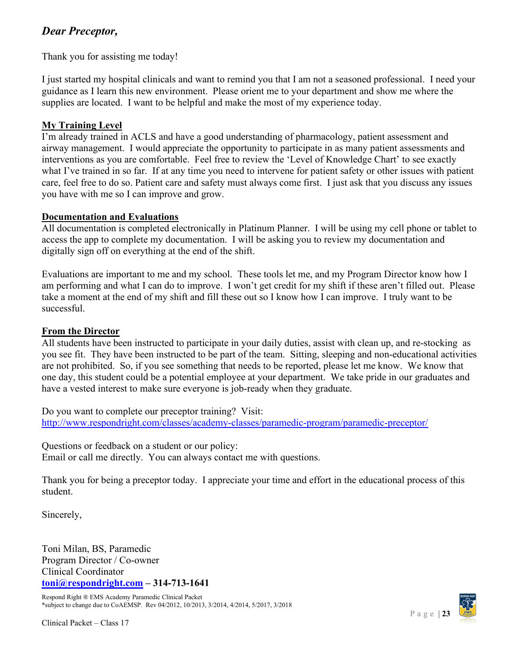# *Dear Preceptor,*

Thank you for assisting me today!

I just started my hospital clinicals and want to remind you that I am not a seasoned professional. I need your guidance as I learn this new environment. Please orient me to your department and show me where the supplies are located. I want to be helpful and make the most of my experience today.

# **My Training Level**

I'm already trained in ACLS and have a good understanding of pharmacology, patient assessment and airway management. I would appreciate the opportunity to participate in as many patient assessments and interventions as you are comfortable. Feel free to review the 'Level of Knowledge Chart' to see exactly what I've trained in so far. If at any time you need to intervene for patient safety or other issues with patient care, feel free to do so. Patient care and safety must always come first. I just ask that you discuss any issues you have with me so I can improve and grow.

# **Documentation and Evaluations**

All documentation is completed electronically in Platinum Planner. I will be using my cell phone or tablet to access the app to complete my documentation. I will be asking you to review my documentation and digitally sign off on everything at the end of the shift.

Evaluations are important to me and my school. These tools let me, and my Program Director know how I am performing and what I can do to improve. I won't get credit for my shift if these aren't filled out. Please take a moment at the end of my shift and fill these out so I know how I can improve. I truly want to be successful.

# **From the Director**

All students have been instructed to participate in your daily duties, assist with clean up, and re-stocking as you see fit. They have been instructed to be part of the team. Sitting, sleeping and non-educational activities are not prohibited. So, if you see something that needs to be reported, please let me know. We know that one day, this student could be a potential employee at your department. We take pride in our graduates and have a vested interest to make sure everyone is job-ready when they graduate.

Do you want to complete our preceptor training? Visit: <http://www.respondright.com/classes/academy-classes/paramedic-program/paramedic-preceptor/>

Questions or feedback on a student or our policy: Email or call me directly. You can always contact me with questions.

Thank you for being a preceptor today. I appreciate your time and effort in the educational process of this student.

Sincerely,

Toni Milan, BS, Paramedic Program Director / Co-owner Clinical Coordinator **[toni@respondright.com](mailto:toni@respondright.com) – 314-713-1641**

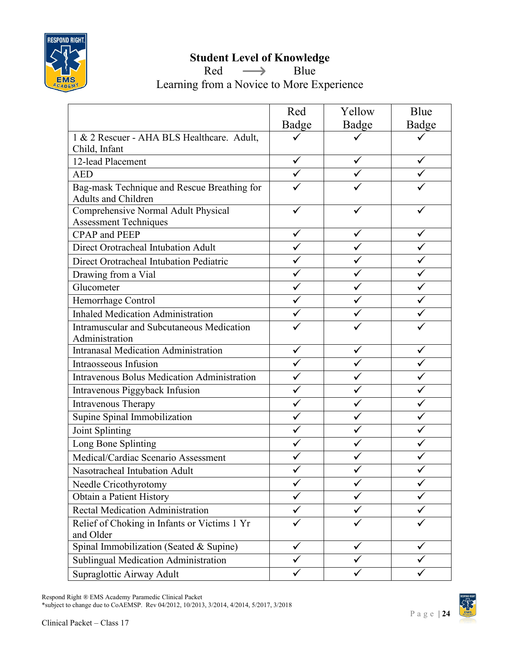

# **Student Level of Knowledge**

Red  $\longrightarrow$  Blue

Learning from a Novice to More Experience

|                                                                           | Red   | Yellow | Blue  |
|---------------------------------------------------------------------------|-------|--------|-------|
|                                                                           | Badge | Badge  | Badge |
| 1 & 2 Rescuer - AHA BLS Healthcare. Adult,                                |       |        |       |
| Child, Infant                                                             |       |        |       |
| 12-lead Placement                                                         | ✓     |        |       |
| <b>AED</b>                                                                |       |        |       |
| Bag-mask Technique and Rescue Breathing for<br><b>Adults and Children</b> |       |        |       |
| Comprehensive Normal Adult Physical                                       |       |        |       |
| <b>Assessment Techniques</b>                                              |       |        |       |
| <b>CPAP</b> and <b>PEEP</b>                                               | ✓     |        |       |
| Direct Orotracheal Intubation Adult                                       |       |        |       |
| Direct Orotracheal Intubation Pediatric                                   |       |        |       |
| Drawing from a Vial                                                       |       |        |       |
| Glucometer                                                                |       |        |       |
| Hemorrhage Control                                                        |       |        |       |
| <b>Inhaled Medication Administration</b>                                  |       |        |       |
| Intramuscular and Subcutaneous Medication                                 |       |        |       |
| Administration                                                            |       |        |       |
| <b>Intranasal Medication Administration</b>                               |       |        |       |
| Intraosseous Infusion                                                     |       |        |       |
| Intravenous Bolus Medication Administration                               |       |        |       |
| Intravenous Piggyback Infusion                                            |       |        |       |
| Intravenous Therapy                                                       |       |        |       |
| Supine Spinal Immobilization                                              |       |        |       |
| Joint Splinting                                                           |       |        |       |
| Long Bone Splinting                                                       |       |        |       |
| Medical/Cardiac Scenario Assessment                                       |       |        |       |
| Nasotracheal Intubation Adult                                             |       |        |       |
| Needle Cricothyrotomy                                                     |       |        |       |
| Obtain a Patient History                                                  |       |        |       |
| Rectal Medication Administration                                          |       |        |       |
| Relief of Choking in Infants or Victims 1 Yr<br>and Older                 |       |        |       |
| Spinal Immobilization (Seated & Supine)                                   |       |        |       |
| Sublingual Medication Administration                                      |       |        |       |
| Supraglottic Airway Adult                                                 |       |        |       |

Respond Right ® EMS Academy Paramedic Clinical Packet

\*subject to change due to CoAEMSP. Rev 04/2012, 10/2013, 3/2014, 4/2014, 5/2017, 3/2018

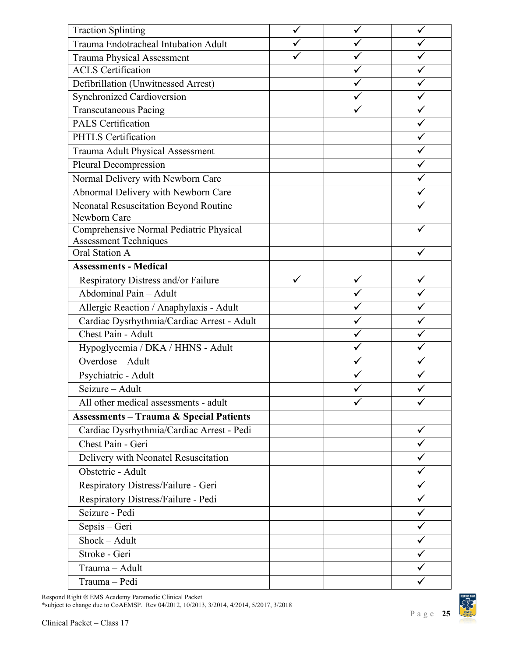| <b>Traction Splinting</b>                          |  |   |
|----------------------------------------------------|--|---|
| Trauma Endotracheal Intubation Adult               |  |   |
| <b>Trauma Physical Assessment</b>                  |  |   |
| <b>ACLS</b> Certification                          |  |   |
| Defibrillation (Unwitnessed Arrest)                |  |   |
| Synchronized Cardioversion                         |  |   |
| <b>Transcutaneous Pacing</b>                       |  |   |
| <b>PALS Certification</b>                          |  |   |
| <b>PHTLS Certification</b>                         |  |   |
| Trauma Adult Physical Assessment                   |  |   |
| Pleural Decompression                              |  |   |
| Normal Delivery with Newborn Care                  |  |   |
| Abnormal Delivery with Newborn Care                |  |   |
| Neonatal Resuscitation Beyond Routine              |  |   |
| Newborn Care                                       |  |   |
| Comprehensive Normal Pediatric Physical            |  |   |
| <b>Assessment Techniques</b>                       |  |   |
| Oral Station A                                     |  |   |
| <b>Assessments - Medical</b>                       |  |   |
| Respiratory Distress and/or Failure                |  |   |
| Abdominal Pain - Adult                             |  |   |
| Allergic Reaction / Anaphylaxis - Adult            |  |   |
| Cardiac Dysrhythmia/Cardiac Arrest - Adult         |  |   |
| Chest Pain - Adult                                 |  |   |
| Hypoglycemia / DKA / HHNS - Adult                  |  |   |
| Overdose - Adult                                   |  |   |
| Psychiatric - Adult                                |  |   |
| Seizure - Adult                                    |  |   |
| All other medical assessments - adult              |  |   |
| <b>Assessments - Trauma &amp; Special Patients</b> |  |   |
| Cardiac Dysrhythmia/Cardiac Arrest - Pedi          |  | ✓ |
| Chest Pain - Geri                                  |  |   |
| Delivery with Neonatel Resuscitation               |  |   |
| Obstetric - Adult                                  |  |   |
| Respiratory Distress/Failure - Geri                |  |   |
| Respiratory Distress/Failure - Pedi                |  |   |
| Seizure - Pedi                                     |  |   |
| Sepsis - Geri                                      |  |   |
| Shock - Adult                                      |  |   |
| Stroke - Geri                                      |  |   |
| Trauma - Adult                                     |  |   |
| Trauma - Pedi                                      |  |   |
|                                                    |  |   |

Respond Right ® EMS Academy Paramedic Clinical Packet

\*subject to change due to CoAEMSP. Rev 04/2012, 10/2013, 3/2014, 4/2014, 5/2017, 3/2018

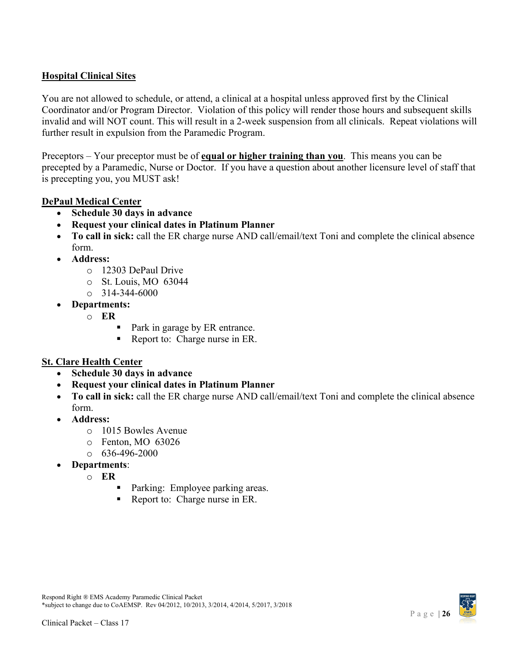### <span id="page-25-0"></span>**Hospital Clinical Sites**

You are not allowed to schedule, or attend, a clinical at a hospital unless approved first by the Clinical Coordinator and/or Program Director. Violation of this policy will render those hours and subsequent skills invalid and will NOT count. This will result in a 2-week suspension from all clinicals. Repeat violations will further result in expulsion from the Paramedic Program.

Preceptors – Your preceptor must be of **equal or higher training than you**. This means you can be precepted by a Paramedic, Nurse or Doctor. If you have a question about another licensure level of staff that is precepting you, you MUST ask!

# **DePaul Medical Center**

- **Schedule 30 days in advance**
- **Request your clinical dates in Platinum Planner**
- **To call in sick:** call the ER charge nurse AND call/email/text Toni and complete the clinical absence form.
- **Address:**
	- o 12303 DePaul Drive
	- o St. Louis, MO 63044
	- $\circ$  314-344-6000
- **Departments:**
	- o **ER**
		- Park in garage by ER entrance.
		- Report to: Charge nurse in ER.

### **St. Clare Health Center**

- **Schedule 30 days in advance**
- **Request your clinical dates in Platinum Planner**
- **To call in sick:** call the ER charge nurse AND call/email/text Toni and complete the clinical absence form.
- **Address:**
	- o 1015 Bowles Avenue
	- o Fenton, MO 63026
	- $\circ$  636-496-2000
- **Departments**:
	- o **ER**
		- **Parking: Employee parking areas.**
		- Report to: Charge nurse in ER.

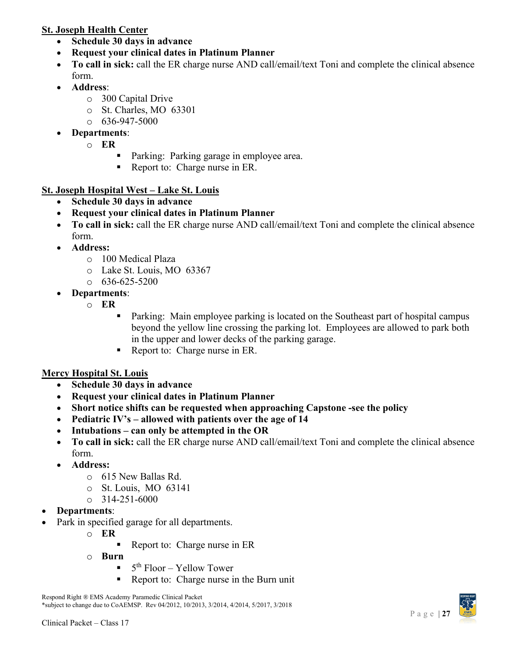# **St. Joseph Health Center**

- **Schedule 30 days in advance**
- **Request your clinical dates in Platinum Planner**
- **To call in sick:** call the ER charge nurse AND call/email/text Toni and complete the clinical absence form.
- **Address**:
	- o 300 Capital Drive
	- o St. Charles, MO 63301
	- $\circ$  636-947-5000
- **Departments**:
	- o **ER**
		- **Parking: Parking garage in employee area.**
		- Report to: Charge nurse in ER.

# **St. Joseph Hospital West – Lake St. Louis**

- **Schedule 30 days in advance**
- **Request your clinical dates in Platinum Planner**
- **To call in sick:** call the ER charge nurse AND call/email/text Toni and complete the clinical absence form.
- **Address:**
	- o 100 Medical Plaza
	- o Lake St. Louis, MO 63367
	- $\circ$  636-625-5200
- **Departments**:
	- o **ER**
- Parking: Main employee parking is located on the Southeast part of hospital campus beyond the yellow line crossing the parking lot. Employees are allowed to park both in the upper and lower decks of the parking garage.
- Report to: Charge nurse in ER.

# **Mercy Hospital St. Louis**

- **Schedule 30 days in advance**
- **Request your clinical dates in Platinum Planner**
- **Short notice shifts can be requested when approaching Capstone -see the policy**
- **Pediatric IV's – allowed with patients over the age of 14**
- **Intubations – can only be attempted in the OR**
- **To call in sick:** call the ER charge nurse AND call/email/text Toni and complete the clinical absence form.
- **Address:**
	- o 615 New Ballas Rd.
	- o St. Louis, MO 63141
	- $\circ$  314-251-6000
- **Departments**:
- Park in specified garage for all departments.
	- o **ER**
		- Report to: Charge nurse in ER
	- o **Burn**
		- 5th Floor Yellow Tower
		- Report to: Charge nurse in the Burn unit

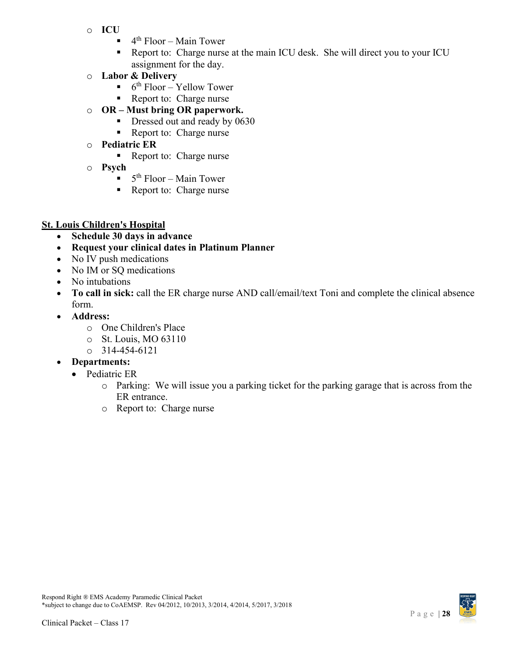- o **ICU**
	- $\blacksquare$  4<sup>th</sup> Floor Main Tower
	- Report to: Charge nurse at the main ICU desk. She will direct you to your ICU assignment for the day.
- o **Labor & Delivery**
	- $\bullet$  6<sup>th</sup> Floor Yellow Tower
	- Report to: Charge nurse
- o **OR – Must bring OR paperwork.**
	- Dressed out and ready by 0630
	- Report to: Charge nurse
- o **Pediatric ER**
	- Report to: Charge nurse
- o **Psych**
	- $\blacksquare$  5<sup>th</sup> Floor Main Tower
	- Report to: Charge nurse

# **St. Louis Children's Hospital**

- **Schedule 30 days in advance**
- **Request your clinical dates in Platinum Planner**
- No IV push medications
- No IM or SQ medications
- No intubations
- **To call in sick:** call the ER charge nurse AND call/email/text Toni and complete the clinical absence form.
- **Address:**
	- o One Children's Place
	- o St. Louis, MO 63110
	- $\circ$  314-454-6121
- **Departments:**
	- Pediatric ER
		- o Parking: We will issue you a parking ticket for the parking garage that is across from the ER entrance.
		- o Report to: Charge nurse

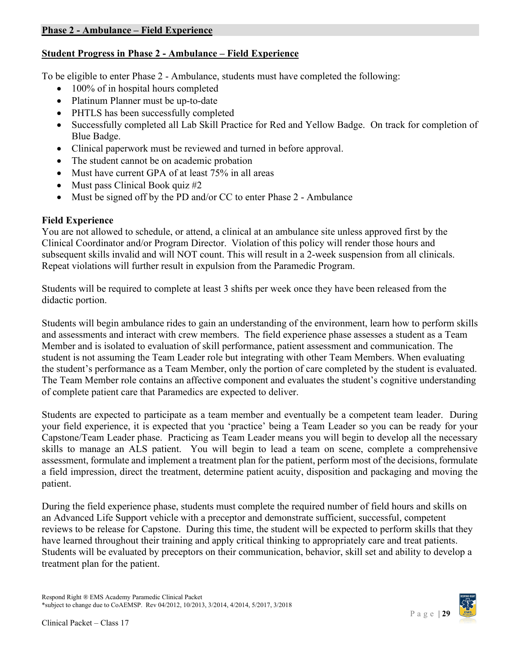# <span id="page-28-0"></span>**Student Progress in Phase 2 - Ambulance – Field Experience**

To be eligible to enter Phase 2 - Ambulance, students must have completed the following:

- 100% of in hospital hours completed
- Platinum Planner must be up-to-date
- PHTLS has been successfully completed
- Successfully completed all Lab Skill Practice for Red and Yellow Badge. On track for completion of Blue Badge.
- Clinical paperwork must be reviewed and turned in before approval.
- The student cannot be on academic probation
- Must have current GPA of at least 75% in all areas
- Must pass Clinical Book quiz #2
- Must be signed off by the PD and/or CC to enter Phase 2 Ambulance

### **Field Experience**

You are not allowed to schedule, or attend, a clinical at an ambulance site unless approved first by the Clinical Coordinator and/or Program Director. Violation of this policy will render those hours and subsequent skills invalid and will NOT count. This will result in a 2-week suspension from all clinicals. Repeat violations will further result in expulsion from the Paramedic Program.

Students will be required to complete at least 3 shifts per week once they have been released from the didactic portion.

Students will begin ambulance rides to gain an understanding of the environment, learn how to perform skills and assessments and interact with crew members. The field experience phase assesses a student as a Team Member and is isolated to evaluation of skill performance, patient assessment and communication. The student is not assuming the Team Leader role but integrating with other Team Members. When evaluating the student's performance as a Team Member, only the portion of care completed by the student is evaluated. The Team Member role contains an affective component and evaluates the student's cognitive understanding of complete patient care that Paramedics are expected to deliver.

Students are expected to participate as a team member and eventually be a competent team leader. During your field experience, it is expected that you 'practice' being a Team Leader so you can be ready for your Capstone/Team Leader phase. Practicing as Team Leader means you will begin to develop all the necessary skills to manage an ALS patient. You will begin to lead a team on scene, complete a comprehensive assessment, formulate and implement a treatment plan for the patient, perform most of the decisions, formulate a field impression, direct the treatment, determine patient acuity, disposition and packaging and moving the patient.

During the field experience phase, students must complete the required number of field hours and skills on an Advanced Life Support vehicle with a preceptor and demonstrate sufficient, successful, competent reviews to be release for Capstone. During this time, the student will be expected to perform skills that they have learned throughout their training and apply critical thinking to appropriately care and treat patients. Students will be evaluated by preceptors on their communication, behavior, skill set and ability to develop a treatment plan for the patient.

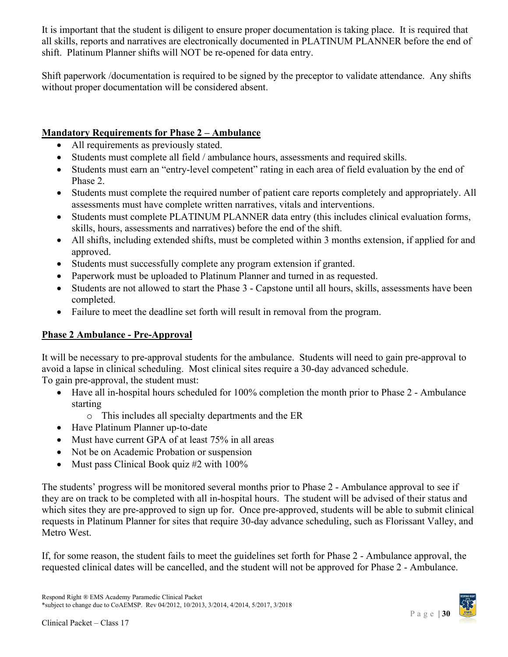It is important that the student is diligent to ensure proper documentation is taking place. It is required that all skills, reports and narratives are electronically documented in PLATINUM PLANNER before the end of shift. Platinum Planner shifts will NOT be re-opened for data entry.

Shift paperwork /documentation is required to be signed by the preceptor to validate attendance. Any shifts without proper documentation will be considered absent.

# **Mandatory Requirements for Phase 2 – Ambulance**

- All requirements as previously stated.
- Students must complete all field / ambulance hours, assessments and required skills.
- Students must earn an "entry-level competent" rating in each area of field evaluation by the end of Phase 2.
- Students must complete the required number of patient care reports completely and appropriately. All assessments must have complete written narratives, vitals and interventions.
- Students must complete PLATINUM PLANNER data entry (this includes clinical evaluation forms, skills, hours, assessments and narratives) before the end of the shift.
- All shifts, including extended shifts, must be completed within 3 months extension, if applied for and approved.
- Students must successfully complete any program extension if granted.
- Paperwork must be uploaded to Platinum Planner and turned in as requested.
- Students are not allowed to start the Phase 3 Capstone until all hours, skills, assessments have been completed.
- Failure to meet the deadline set forth will result in removal from the program.

# <span id="page-29-0"></span>**Phase 2 Ambulance - Pre-Approval**

It will be necessary to pre-approval students for the ambulance. Students will need to gain pre-approval to avoid a lapse in clinical scheduling. Most clinical sites require a 30-day advanced schedule. To gain pre-approval, the student must:

- Have all in-hospital hours scheduled for 100% completion the month prior to Phase 2 Ambulance starting
	- o This includes all specialty departments and the ER
- Have Platinum Planner up-to-date
- Must have current GPA of at least 75% in all areas
- Not be on Academic Probation or suspension
- Must pass Clinical Book quiz #2 with 100%

The students' progress will be monitored several months prior to Phase 2 - Ambulance approval to see if they are on track to be completed with all in-hospital hours. The student will be advised of their status and which sites they are pre-approved to sign up for. Once pre-approved, students will be able to submit clinical requests in Platinum Planner for sites that require 30-day advance scheduling, such as Florissant Valley, and Metro West.

If, for some reason, the student fails to meet the guidelines set forth for Phase 2 - Ambulance approval, the requested clinical dates will be cancelled, and the student will not be approved for Phase 2 - Ambulance.

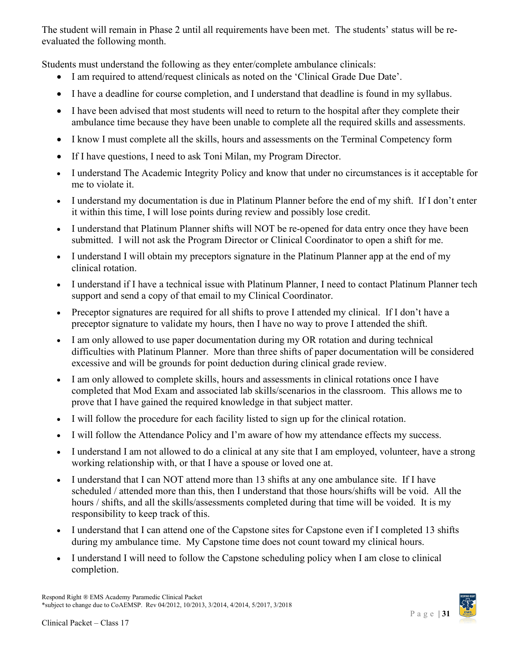The student will remain in Phase 2 until all requirements have been met. The students' status will be reevaluated the following month.

Students must understand the following as they enter/complete ambulance clinicals:

- I am required to attend/request clinicals as noted on the 'Clinical Grade Due Date'.
- I have a deadline for course completion, and I understand that deadline is found in my syllabus.
- I have been advised that most students will need to return to the hospital after they complete their ambulance time because they have been unable to complete all the required skills and assessments.
- I know I must complete all the skills, hours and assessments on the Terminal Competency form
- If I have questions, I need to ask Toni Milan, my Program Director.
- I understand The Academic Integrity Policy and know that under no circumstances is it acceptable for me to violate it.
- I understand my documentation is due in Platinum Planner before the end of my shift. If I don't enter it within this time, I will lose points during review and possibly lose credit.
- I understand that Platinum Planner shifts will NOT be re-opened for data entry once they have been submitted. I will not ask the Program Director or Clinical Coordinator to open a shift for me.
- I understand I will obtain my preceptors signature in the Platinum Planner app at the end of my clinical rotation.
- I understand if I have a technical issue with Platinum Planner, I need to contact Platinum Planner tech support and send a copy of that email to my Clinical Coordinator.
- Preceptor signatures are required for all shifts to prove I attended my clinical. If I don't have a preceptor signature to validate my hours, then I have no way to prove I attended the shift.
- I am only allowed to use paper documentation during my OR rotation and during technical difficulties with Platinum Planner. More than three shifts of paper documentation will be considered excessive and will be grounds for point deduction during clinical grade review.
- I am only allowed to complete skills, hours and assessments in clinical rotations once I have completed that Mod Exam and associated lab skills/scenarios in the classroom. This allows me to prove that I have gained the required knowledge in that subject matter.
- I will follow the procedure for each facility listed to sign up for the clinical rotation.
- I will follow the Attendance Policy and I'm aware of how my attendance effects my success.
- I understand I am not allowed to do a clinical at any site that I am employed, volunteer, have a strong working relationship with, or that I have a spouse or loved one at.
- I understand that I can NOT attend more than 13 shifts at any one ambulance site. If I have scheduled / attended more than this, then I understand that those hours/shifts will be void. All the hours / shifts, and all the skills/assessments completed during that time will be voided. It is my responsibility to keep track of this.
- I understand that I can attend one of the Capstone sites for Capstone even if I completed 13 shifts during my ambulance time. My Capstone time does not count toward my clinical hours.
- I understand I will need to follow the Capstone scheduling policy when I am close to clinical completion.

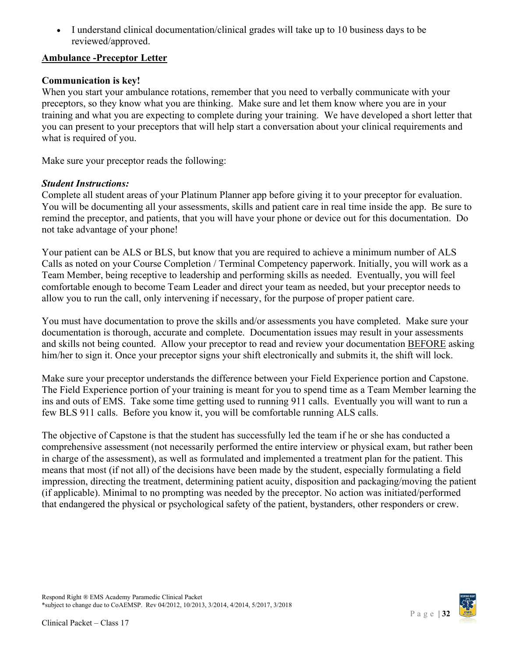• I understand clinical documentation/clinical grades will take up to 10 business days to be reviewed/approved.

# <span id="page-31-0"></span>**Ambulance -Preceptor Letter**

# **Communication is key!**

When you start your ambulance rotations, remember that you need to verbally communicate with your preceptors, so they know what you are thinking. Make sure and let them know where you are in your training and what you are expecting to complete during your training. We have developed a short letter that you can present to your preceptors that will help start a conversation about your clinical requirements and what is required of you.

Make sure your preceptor reads the following:

# *Student Instructions:*

Complete all student areas of your Platinum Planner app before giving it to your preceptor for evaluation. You will be documenting all your assessments, skills and patient care in real time inside the app. Be sure to remind the preceptor, and patients, that you will have your phone or device out for this documentation. Do not take advantage of your phone!

Your patient can be ALS or BLS, but know that you are required to achieve a minimum number of ALS Calls as noted on your Course Completion / Terminal Competency paperwork. Initially, you will work as a Team Member, being receptive to leadership and performing skills as needed. Eventually, you will feel comfortable enough to become Team Leader and direct your team as needed, but your preceptor needs to allow you to run the call, only intervening if necessary, for the purpose of proper patient care.

You must have documentation to prove the skills and/or assessments you have completed. Make sure your documentation is thorough, accurate and complete. Documentation issues may result in your assessments and skills not being counted. Allow your preceptor to read and review your documentation BEFORE asking him/her to sign it. Once your preceptor signs your shift electronically and submits it, the shift will lock.

Make sure your preceptor understands the difference between your Field Experience portion and Capstone. The Field Experience portion of your training is meant for you to spend time as a Team Member learning the ins and outs of EMS. Take some time getting used to running 911 calls. Eventually you will want to run a few BLS 911 calls. Before you know it, you will be comfortable running ALS calls.

The objective of Capstone is that the student has successfully led the team if he or she has conducted a comprehensive assessment (not necessarily performed the entire interview or physical exam, but rather been in charge of the assessment), as well as formulated and implemented a treatment plan for the patient. This means that most (if not all) of the decisions have been made by the student, especially formulating a field impression, directing the treatment, determining patient acuity, disposition and packaging/moving the patient (if applicable). Minimal to no prompting was needed by the preceptor. No action was initiated/performed that endangered the physical or psychological safety of the patient, bystanders, other responders or crew.

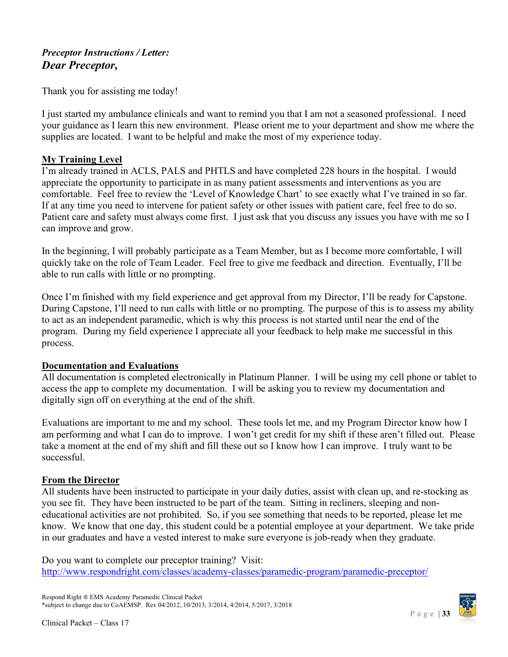# *Preceptor Instructions / Letter: Dear Preceptor,*

Thank you for assisting me today!

I just started my ambulance clinicals and want to remind you that I am not a seasoned professional. I need your guidance as I learn this new environment. Please orient me to your department and show me where the supplies are located. I want to be helpful and make the most of my experience today.

# **My Training Level**

I'm already trained in ACLS, PALS and PHTLS and have completed 228 hours in the hospital. I would appreciate the opportunity to participate in as many patient assessments and interventions as you are comfortable. Feel free to review the 'Level of Knowledge Chart' to see exactly what I've trained in so far. If at any time you need to intervene for patient safety or other issues with patient care, feel free to do so. Patient care and safety must always come first. I just ask that you discuss any issues you have with me so I can improve and grow.

In the beginning, I will probably participate as a Team Member, but as I become more comfortable, I will quickly take on the role of Team Leader. Feel free to give me feedback and direction. Eventually, I'll be able to run calls with little or no prompting.

Once I'm finished with my field experience and get approval from my Director, I'll be ready for Capstone. During Capstone, I'll need to run calls with little or no prompting. The purpose of this is to assess my ability to act as an independent paramedic, which is why this process is not started until near the end of the program. During my field experience I appreciate all your feedback to help make me successful in this process.

# **Documentation and Evaluations**

All documentation is completed electronically in Platinum Planner. I will be using my cell phone or tablet to access the app to complete my documentation. I will be asking you to review my documentation and digitally sign off on everything at the end of the shift.

Evaluations are important to me and my school. These tools let me, and my Program Director know how I am performing and what I can do to improve. I won't get credit for my shift if these aren't filled out. Please take a moment at the end of my shift and fill these out so I know how I can improve. I truly want to be successful.

# **From the Director**

All students have been instructed to participate in your daily duties, assist with clean up, and re-stocking as you see fit. They have been instructed to be part of the team. Sitting in recliners, sleeping and noneducational activities are not prohibited. So, if you see something that needs to be reported, please let me know. We know that one day, this student could be a potential employee at your department. We take pride in our graduates and have a vested interest to make sure everyone is job-ready when they graduate.

Do you want to complete our preceptor training? Visit: <http://www.respondright.com/classes/academy-classes/paramedic-program/paramedic-preceptor/>

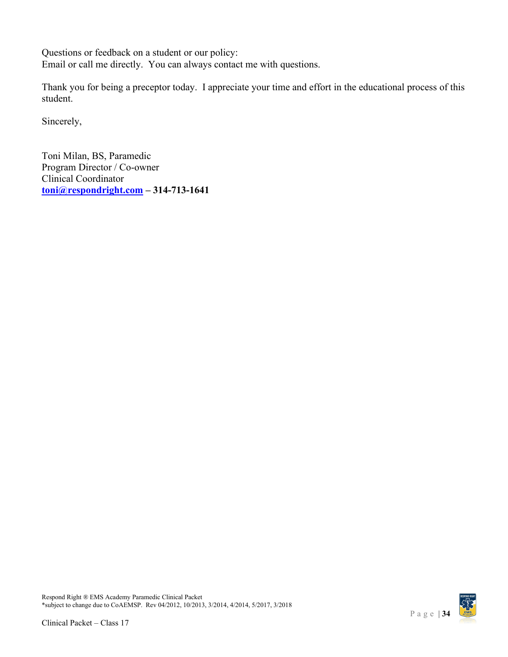Questions or feedback on a student or our policy: Email or call me directly. You can always contact me with questions.

Thank you for being a preceptor today. I appreciate your time and effort in the educational process of this student.

Sincerely,

Toni Milan, BS, Paramedic Program Director / Co-owner Clinical Coordinator **[toni@respondright.com](mailto:toni@respondright.com) – 314-713-1641**

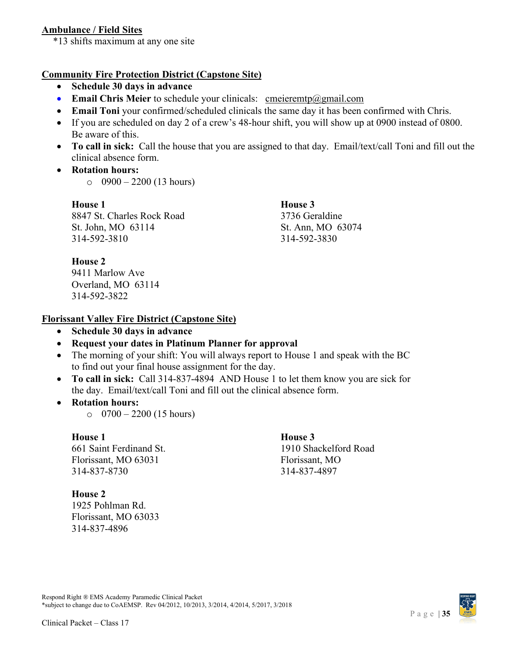# <span id="page-34-0"></span>**Ambulance / Field Sites**

\*13 shifts maximum at any one site

### **Community Fire Protection District (Capstone Site)**

- **Schedule 30 days in advance**
- **Email Chris Meier** to schedule your clinicals: [cmeieremtp@gmail.com](mailto:cmeieremtp@gmail.com)
- **Email Toni** your confirmed/scheduled clinicals the same day it has been confirmed with Chris.
- If you are scheduled on day 2 of a crew's 48-hour shift, you will show up at 0900 instead of 0800. Be aware of this.
- **To call in sick:** Call the house that you are assigned to that day. Email/text/call Toni and fill out the clinical absence form.
- **Rotation hours:**

 $\circ$  0900 – 2200 (13 hours)

**House 1 House 3** 8847 St. Charles Rock Road 3736 Geraldine St. John, MO 63114 St. Ann, MO 63074 314-592-3810 314-592-3830

# **House 2**

9411 Marlow Ave Overland, MO 63114 314-592-3822

# **Florissant Valley Fire District (Capstone Site)**

• **Schedule 30 days in advance**

# • **Request your dates in Platinum Planner for approval**

- The morning of your shift: You will always report to House 1 and speak with the BC to find out your final house assignment for the day.
- **To call in sick:** Call 314-837-4894 AND House 1 to let them know you are sick for the day. Email/text/call Toni and fill out the clinical absence form.
- **Rotation hours:**
	- $\circ$  0700 2200 (15 hours)

### **House 1 House 3**

661 Saint Ferdinand St. 1910 Shackelford Road Florissant, MO 63031 Florissant, MO 314-837-8730 314-837-4897

### **House 2**

1925 Pohlman Rd. Florissant, MO 63033 314-837-4896

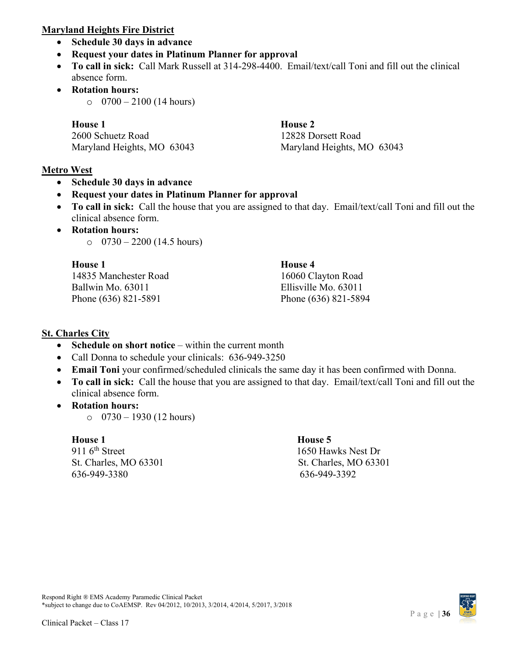### **Maryland Heights Fire District**

- **Schedule 30 days in advance**
- **Request your dates in Platinum Planner for approval**
- **To call in sick:** Call Mark Russell at 314-298-4400. Email/text/call Toni and fill out the clinical absence form.
- **Rotation hours:**
	- $\circ$  0700 2100 (14 hours)

**House 1 House 2** 2600 Schuetz Road 12828 Dorsett Road Maryland Heights, MO 63043 Maryland Heights, MO 63043

# **Metro West**

• **Schedule 30 days in advance**

# • **Request your dates in Platinum Planner for approval**

- **To call in sick:** Call the house that you are assigned to that day. Email/text/call Toni and fill out the clinical absence form.
- **Rotation hours:**
	- $\circ$  0730 2200 (14.5 hours)

| <b>House 1</b>        | House 4              |
|-----------------------|----------------------|
| 14835 Manchester Road | 16060 Clayton Road   |
| Ballwin Mo. 63011     | Ellisville Mo. 63011 |
| Phone (636) 821-5891  | Phone (636) 821-5894 |

# **St. Charles City**

- **Schedule on short notice** within the current month
- Call Donna to schedule your clinicals: 636-949-3250
- **Email Toni** your confirmed/scheduled clinicals the same day it has been confirmed with Donna.
- **To call in sick:** Call the house that you are assigned to that day. Email/text/call Toni and fill out the clinical absence form.
- **Rotation hours:**
	- $\circ$  0730 1930 (12 hours)

**House 1**<br>911 6<sup>th</sup> Street 1650 Have 5 St. Charles, MO 63301 St. Charles, MO 63301 636-949-3380 636-949-3392

1650 Hawks Nest Dr

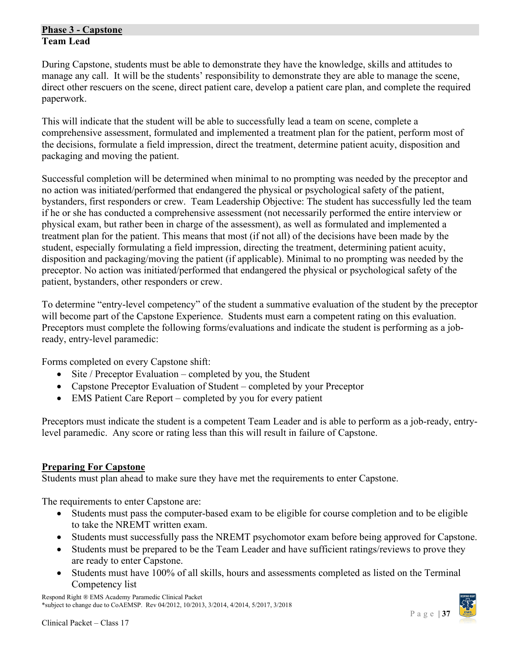### <span id="page-36-0"></span>**Phase 3 - Capstone Team Lead**

During Capstone, students must be able to demonstrate they have the knowledge, skills and attitudes to manage any call. It will be the students' responsibility to demonstrate they are able to manage the scene, direct other rescuers on the scene, direct patient care, develop a patient care plan, and complete the required paperwork.

This will indicate that the student will be able to successfully lead a team on scene, complete a comprehensive assessment, formulated and implemented a treatment plan for the patient, perform most of the decisions, formulate a field impression, direct the treatment, determine patient acuity, disposition and packaging and moving the patient.

Successful completion will be determined when minimal to no prompting was needed by the preceptor and no action was initiated/performed that endangered the physical or psychological safety of the patient, bystanders, first responders or crew. Team Leadership Objective: The student has successfully led the team if he or she has conducted a comprehensive assessment (not necessarily performed the entire interview or physical exam, but rather been in charge of the assessment), as well as formulated and implemented a treatment plan for the patient. This means that most (if not all) of the decisions have been made by the student, especially formulating a field impression, directing the treatment, determining patient acuity, disposition and packaging/moving the patient (if applicable). Minimal to no prompting was needed by the preceptor. No action was initiated/performed that endangered the physical or psychological safety of the patient, bystanders, other responders or crew.

To determine "entry-level competency" of the student a summative evaluation of the student by the preceptor will become part of the Capstone Experience. Students must earn a competent rating on this evaluation. Preceptors must complete the following forms/evaluations and indicate the student is performing as a jobready, entry-level paramedic:

Forms completed on every Capstone shift:

- Site / Preceptor Evaluation completed by you, the Student
- Capstone Preceptor Evaluation of Student completed by your Preceptor
- EMS Patient Care Report completed by you for every patient

Preceptors must indicate the student is a competent Team Leader and is able to perform as a job-ready, entrylevel paramedic. Any score or rating less than this will result in failure of Capstone.

### <span id="page-36-1"></span>**Preparing For Capstone**

Students must plan ahead to make sure they have met the requirements to enter Capstone.

The requirements to enter Capstone are:

- Students must pass the computer-based exam to be eligible for course completion and to be eligible to take the NREMT written exam.
- Students must successfully pass the NREMT psychomotor exam before being approved for Capstone.
- Students must be prepared to be the Team Leader and have sufficient ratings/reviews to prove they are ready to enter Capstone.
- Students must have 100% of all skills, hours and assessments completed as listed on the Terminal Competency list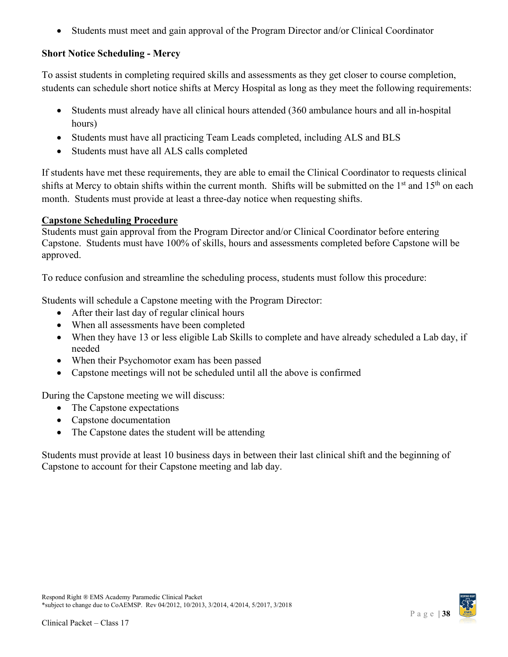• Students must meet and gain approval of the Program Director and/or Clinical Coordinator

# **Short Notice Scheduling - Mercy**

To assist students in completing required skills and assessments as they get closer to course completion, students can schedule short notice shifts at Mercy Hospital as long as they meet the following requirements:

- Students must already have all clinical hours attended (360 ambulance hours and all in-hospital hours)
- Students must have all practicing Team Leads completed, including ALS and BLS
- Students must have all ALS calls completed

If students have met these requirements, they are able to email the Clinical Coordinator to requests clinical shifts at Mercy to obtain shifts within the current month. Shifts will be submitted on the  $1<sup>st</sup>$  and  $15<sup>th</sup>$  on each month. Students must provide at least a three-day notice when requesting shifts.

# <span id="page-37-0"></span>**Capstone Scheduling Procedure**

Students must gain approval from the Program Director and/or Clinical Coordinator before entering Capstone. Students must have 100% of skills, hours and assessments completed before Capstone will be approved.

To reduce confusion and streamline the scheduling process, students must follow this procedure:

Students will schedule a Capstone meeting with the Program Director:

- After their last day of regular clinical hours
- When all assessments have been completed
- When they have 13 or less eligible Lab Skills to complete and have already scheduled a Lab day, if needed
- When their Psychomotor exam has been passed
- Capstone meetings will not be scheduled until all the above is confirmed

During the Capstone meeting we will discuss:

- The Capstone expectations
- Capstone documentation
- The Capstone dates the student will be attending

Students must provide at least 10 business days in between their last clinical shift and the beginning of Capstone to account for their Capstone meeting and lab day.

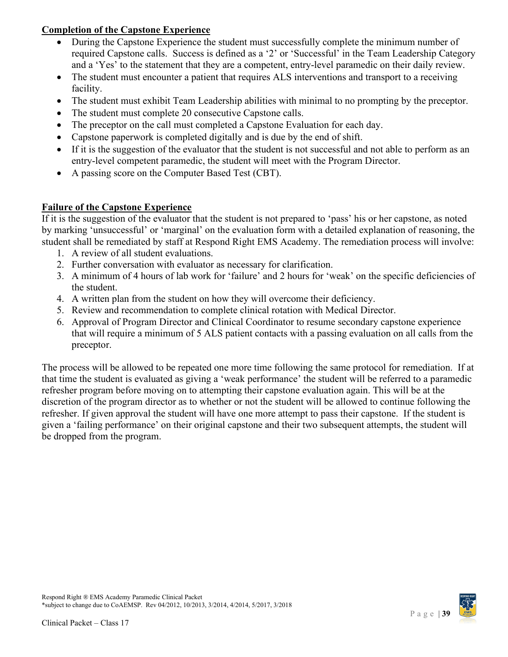# **Completion of the Capstone Experience**

- During the Capstone Experience the student must successfully complete the minimum number of required Capstone calls. Success is defined as a '2' or 'Successful' in the Team Leadership Category and a 'Yes' to the statement that they are a competent, entry-level paramedic on their daily review.
- The student must encounter a patient that requires ALS interventions and transport to a receiving facility.
- The student must exhibit Team Leadership abilities with minimal to no prompting by the preceptor.
- The student must complete 20 consecutive Capstone calls.
- The preceptor on the call must completed a Capstone Evaluation for each day.
- Capstone paperwork is completed digitally and is due by the end of shift.
- If it is the suggestion of the evaluator that the student is not successful and not able to perform as an entry-level competent paramedic, the student will meet with the Program Director.
- A passing score on the Computer Based Test (CBT).

# <span id="page-38-0"></span>**Failure of the Capstone Experience**

If it is the suggestion of the evaluator that the student is not prepared to 'pass' his or her capstone, as noted by marking 'unsuccessful' or 'marginal' on the evaluation form with a detailed explanation of reasoning, the student shall be remediated by staff at Respond Right EMS Academy. The remediation process will involve:

- 1. A review of all student evaluations.
- 2. Further conversation with evaluator as necessary for clarification.
- 3. A minimum of 4 hours of lab work for 'failure' and 2 hours for 'weak' on the specific deficiencies of the student.
- 4. A written plan from the student on how they will overcome their deficiency.
- 5. Review and recommendation to complete clinical rotation with Medical Director.
- 6. Approval of Program Director and Clinical Coordinator to resume secondary capstone experience that will require a minimum of 5 ALS patient contacts with a passing evaluation on all calls from the preceptor.

The process will be allowed to be repeated one more time following the same protocol for remediation. If at that time the student is evaluated as giving a 'weak performance' the student will be referred to a paramedic refresher program before moving on to attempting their capstone evaluation again. This will be at the discretion of the program director as to whether or not the student will be allowed to continue following the refresher. If given approval the student will have one more attempt to pass their capstone. If the student is given a 'failing performance' on their original capstone and their two subsequent attempts, the student will be dropped from the program.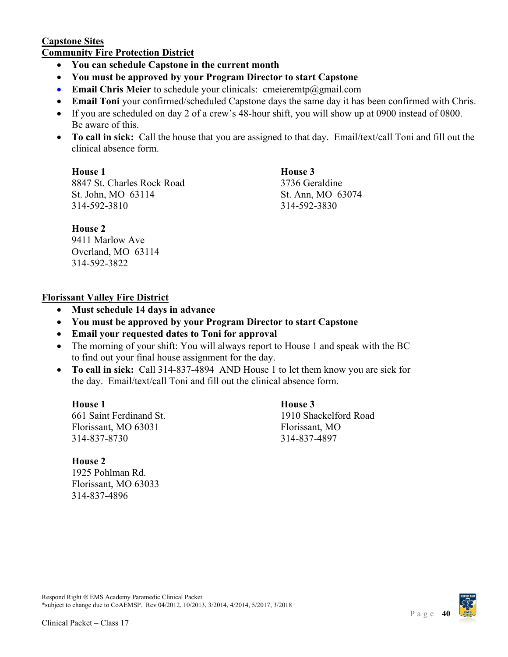### <span id="page-39-0"></span>**Capstone Sites Community Fire Protection District**

- **You can schedule Capstone in the current month**
- **You must be approved by your Program Director to start Capstone**
- **Email Chris Meier** to schedule your clinicals: [cmeieremtp@gmail.com](mailto:cmeieremtp@gmail.com)
- **Email Toni** your confirmed/scheduled Capstone days the same day it has been confirmed with Chris.
- If you are scheduled on day 2 of a crew's 48-hour shift, you will show up at 0900 instead of 0800. Be aware of this.
- **To call in sick:** Call the house that you are assigned to that day. Email/text/call Toni and fill out the clinical absence form.

**House 1 House 3**

8847 St. Charles Rock Road 3736 Geraldine St. John, MO 63114 St. Ann, MO 63074 314-592-3810 314-592-3830

### **House 2**

9411 Marlow Ave Overland, MO 63114 314-592-3822

# **Florissant Valley Fire District**

- **Must schedule 14 days in advance**
- **You must be approved by your Program Director to start Capstone**
- **Email your requested dates to Toni for approval**
- The morning of your shift: You will always report to House 1 and speak with the BC to find out your final house assignment for the day.
- **To call in sick:** Call 314-837-4894 AND House 1 to let them know you are sick for the day. Email/text/call Toni and fill out the clinical absence form.

**House 1 House 3** 661 Saint Ferdinand St. 1910 Shackelford Road Florissant, MO 63031 Florissant, MO 314-837-8730 314-837-4897

### **House 2**

1925 Pohlman Rd. Florissant, MO 63033 314-837-4896

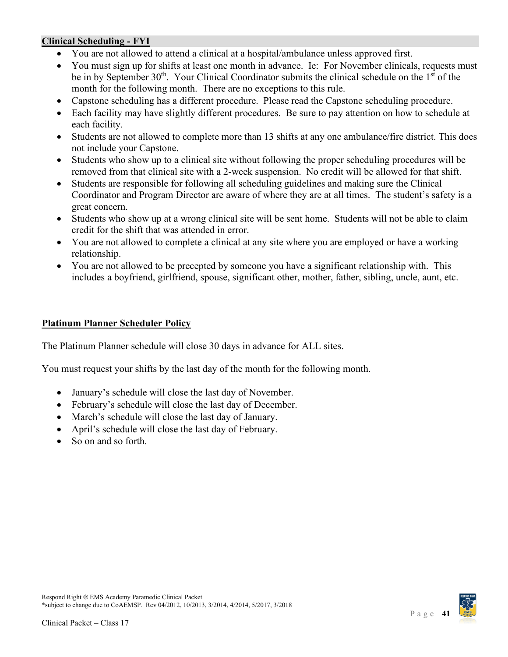### <span id="page-40-0"></span>**Clinical Scheduling - FYI**

- You are not allowed to attend a clinical at a hospital/ambulance unless approved first.
- You must sign up for shifts at least one month in advance. Ie: For November clinicals, requests must be in by September  $30<sup>th</sup>$ . Your Clinical Coordinator submits the clinical schedule on the  $1<sup>st</sup>$  of the month for the following month. There are no exceptions to this rule.
- Capstone scheduling has a different procedure. Please read the Capstone scheduling procedure.
- Each facility may have slightly different procedures. Be sure to pay attention on how to schedule at each facility.
- Students are not allowed to complete more than 13 shifts at any one ambulance/fire district. This does not include your Capstone.
- Students who show up to a clinical site without following the proper scheduling procedures will be removed from that clinical site with a 2-week suspension. No credit will be allowed for that shift.
- Students are responsible for following all scheduling guidelines and making sure the Clinical Coordinator and Program Director are aware of where they are at all times. The student's safety is a great concern.
- Students who show up at a wrong clinical site will be sent home. Students will not be able to claim credit for the shift that was attended in error.
- You are not allowed to complete a clinical at any site where you are employed or have a working relationship.
- You are not allowed to be precepted by someone you have a significant relationship with. This includes a boyfriend, girlfriend, spouse, significant other, mother, father, sibling, uncle, aunt, etc.

### <span id="page-40-1"></span>**Platinum Planner Scheduler Policy**

The Platinum Planner schedule will close 30 days in advance for ALL sites.

You must request your shifts by the last day of the month for the following month.

- January's schedule will close the last day of November.
- February's schedule will close the last day of December.
- March's schedule will close the last day of January.
- April's schedule will close the last day of February.
- So on and so forth.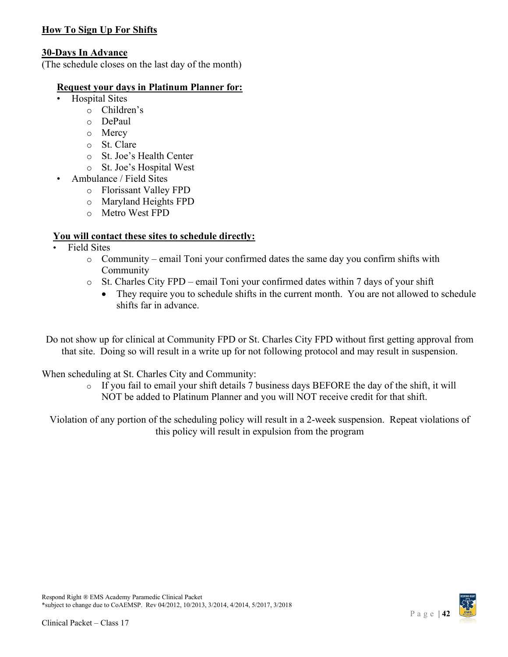# <span id="page-41-0"></span>**How To Sign Up For Shifts**

### **30-Days In Advance**

(The schedule closes on the last day of the month)

### **Request your days in Platinum Planner for:**

- Hospital Sites
	- o Children's
	- o DePaul
	- o Mercy
	- o St. Clare
	- o St. Joe's Health Center
	- o St. Joe's Hospital West
- Ambulance / Field Sites
	- o Florissant Valley FPD
	- o Maryland Heights FPD
	- o Metro West FPD

### **You will contact these sites to schedule directly:**

- Field Sites
	- o Community email Toni your confirmed dates the same day you confirm shifts with Community
	- o St. Charles City FPD email Toni your confirmed dates within 7 days of your shift
		- They require you to schedule shifts in the current month. You are not allowed to schedule shifts far in advance.

Do not show up for clinical at Community FPD or St. Charles City FPD without first getting approval from that site. Doing so will result in a write up for not following protocol and may result in suspension.

When scheduling at St. Charles City and Community:

o If you fail to email your shift details 7 business days BEFORE the day of the shift, it will NOT be added to Platinum Planner and you will NOT receive credit for that shift.

Violation of any portion of the scheduling policy will result in a 2-week suspension. Repeat violations of this policy will result in expulsion from the program

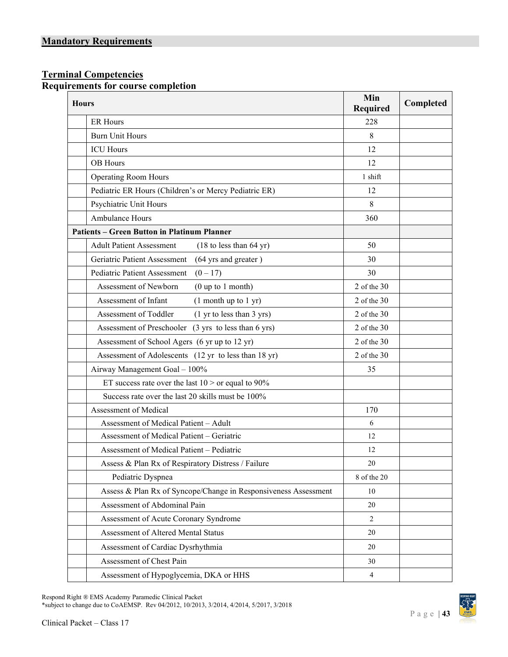### <span id="page-42-2"></span><span id="page-42-1"></span><span id="page-42-0"></span>**Terminal Competencies Requirements for course completion**

| <b>Hours</b> |                                                                 | Min<br>Required | Completed |
|--------------|-----------------------------------------------------------------|-----------------|-----------|
|              | <b>ER Hours</b>                                                 | 228             |           |
|              | <b>Burn Unit Hours</b>                                          | 8               |           |
|              | <b>ICU</b> Hours                                                | 12              |           |
|              | OB Hours                                                        | 12              |           |
|              | Operating Room Hours                                            | 1 shift         |           |
|              | Pediatric ER Hours (Children's or Mercy Pediatric ER)           | 12              |           |
|              | Psychiatric Unit Hours                                          | 8               |           |
|              | Ambulance Hours                                                 | 360             |           |
|              | <b>Patients - Green Button in Platinum Planner</b>              |                 |           |
|              | <b>Adult Patient Assessment</b><br>$(18$ to less than 64 yr)    | 50              |           |
|              | Geriatric Patient Assessment<br>(64 yrs and greater)            | 30              |           |
|              | <b>Pediatric Patient Assessment</b><br>$(0-17)$                 | 30              |           |
|              | Assessment of Newborn<br>$(0 \text{ up to } 1 \text{ month})$   | $2$ of the $30$ |           |
|              | Assessment of Infant<br>(1 month up to 1 yr)                    | $2$ of the $30$ |           |
|              | Assessment of Toddler<br>(1 yr to less than 3 yrs)              | $2$ of the $30$ |           |
|              | Assessment of Preschooler (3 yrs to less than 6 yrs)            | $2$ of the $30$ |           |
|              | Assessment of School Agers (6 yr up to 12 yr)                   | $2$ of the $30$ |           |
|              | Assessment of Adolescents (12 yr to less than 18 yr)            | $2$ of the $30$ |           |
|              | Airway Management Goal - 100%                                   | 35              |           |
|              | ET success rate over the last $10 >$ or equal to 90%            |                 |           |
|              | Success rate over the last 20 skills must be 100%               |                 |           |
|              | Assessment of Medical                                           | 170             |           |
|              | Assessment of Medical Patient - Adult                           | 6               |           |
|              | Assessment of Medical Patient - Geriatric                       | 12              |           |
|              | Assessment of Medical Patient - Pediatric                       | 12              |           |
|              | Assess & Plan Rx of Respiratory Distress / Failure              | $20\,$          |           |
|              | Pediatric Dyspnea                                               | 8 of the 20     |           |
|              | Assess & Plan Rx of Syncope/Change in Responsiveness Assessment | 10              |           |
|              | Assessment of Abdominal Pain                                    | 20              |           |
|              | Assessment of Acute Coronary Syndrome                           | $\overline{2}$  |           |
|              | Assessment of Altered Mental Status                             | 20              |           |
|              | Assessment of Cardiac Dysrhythmia                               | $20\,$          |           |
|              | Assessment of Chest Pain                                        | 30              |           |
|              | Assessment of Hypoglycemia, DKA or HHS                          | $\overline{4}$  |           |

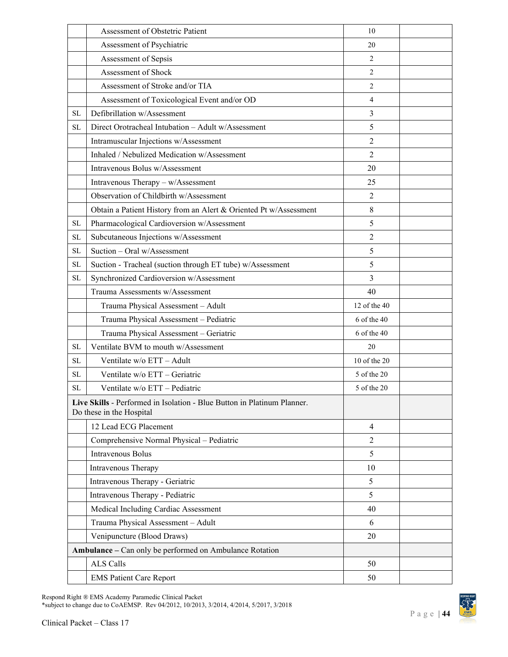|           | Assessment of Obstetric Patient                                                                     | 10             |  |
|-----------|-----------------------------------------------------------------------------------------------------|----------------|--|
|           | Assessment of Psychiatric                                                                           | 20             |  |
|           | Assessment of Sepsis                                                                                | $\overline{2}$ |  |
|           | Assessment of Shock                                                                                 | $\overline{2}$ |  |
|           | Assessment of Stroke and/or TIA                                                                     | $\overline{c}$ |  |
|           | Assessment of Toxicological Event and/or OD                                                         | $\overline{4}$ |  |
| <b>SL</b> | Defibrillation w/Assessment                                                                         | 3              |  |
| <b>SL</b> | Direct Orotracheal Intubation - Adult w/Assessment                                                  | 5              |  |
|           | Intramuscular Injections w/Assessment                                                               | $\overline{2}$ |  |
|           | Inhaled / Nebulized Medication w/Assessment                                                         | $\overline{2}$ |  |
|           | Intravenous Bolus w/Assessment                                                                      | 20             |  |
|           | Intravenous Therapy - w/Assessment                                                                  | 25             |  |
|           | Observation of Childbirth w/Assessment                                                              | $\overline{2}$ |  |
|           | Obtain a Patient History from an Alert & Oriented Pt w/Assessment                                   | 8              |  |
| <b>SL</b> | Pharmacological Cardioversion w/Assessment                                                          | 5              |  |
| <b>SL</b> | Subcutaneous Injections w/Assessment                                                                | $\overline{2}$ |  |
| <b>SL</b> | Suction - Oral w/Assessment                                                                         | 5              |  |
| <b>SL</b> | Suction - Tracheal (suction through ET tube) w/Assessment                                           | 5              |  |
| <b>SL</b> | Synchronized Cardioversion w/Assessment                                                             | $\overline{3}$ |  |
|           | Trauma Assessments w/Assessment                                                                     | 40             |  |
|           | Trauma Physical Assessment - Adult                                                                  | 12 of the 40   |  |
|           | Trauma Physical Assessment - Pediatric                                                              | 6 of the 40    |  |
|           | Trauma Physical Assessment - Geriatric                                                              | 6 of the 40    |  |
| <b>SL</b> | Ventilate BVM to mouth w/Assessment                                                                 | 20             |  |
| <b>SL</b> | Ventilate w/o ETT - Adult                                                                           | 10 of the 20   |  |
| SL        | Ventilate w/o ETT - Geriatric                                                                       | 5 of the 20    |  |
| <b>SL</b> | Ventilate w/o ETT - Pediatric                                                                       | 5 of the 20    |  |
|           | Live Skills - Performed in Isolation - Blue Button in Platinum Planner.<br>Do these in the Hospital |                |  |
|           | 12 Lead ECG Placement                                                                               | $\overline{4}$ |  |
|           | Comprehensive Normal Physical - Pediatric                                                           | $\overline{2}$ |  |
|           | Intravenous Bolus                                                                                   | 5              |  |
|           | Intravenous Therapy                                                                                 | 10             |  |
|           | Intravenous Therapy - Geriatric                                                                     | 5              |  |
|           | Intravenous Therapy - Pediatric                                                                     | 5              |  |
|           | Medical Including Cardiac Assessment                                                                | 40             |  |
|           | Trauma Physical Assessment - Adult                                                                  | 6              |  |
|           | Venipuncture (Blood Draws)                                                                          | 20             |  |
|           | Ambulance - Can only be performed on Ambulance Rotation                                             |                |  |
|           | ALS Calls                                                                                           | 50             |  |
|           | <b>EMS Patient Care Report</b>                                                                      | 50             |  |

Respond Right ® EMS Academy Paramedic Clinical Packet

\*subject to change due to CoAEMSP. Rev 04/2012, 10/2013, 3/2014, 4/2014, 5/2017, 3/2018

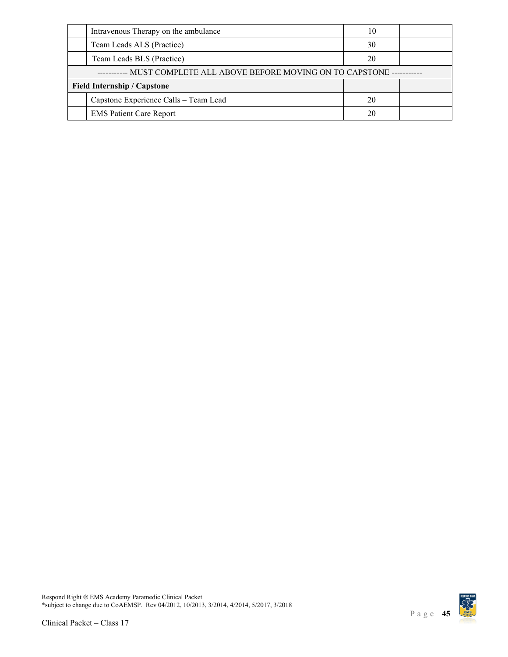|                                                                    | Intravenous Therapy on the ambulance  | 10 |  |
|--------------------------------------------------------------------|---------------------------------------|----|--|
|                                                                    | Team Leads ALS (Practice)             | 30 |  |
|                                                                    | Team Leads BLS (Practice)             | 20 |  |
| - MUST COMPLETE ALL ABOVE BEFORE MOVING ON TO CAPSTONE ----------- |                                       |    |  |
| <b>Field Internship / Capstone</b>                                 |                                       |    |  |
|                                                                    | Capstone Experience Calls - Team Lead | 20 |  |
|                                                                    | <b>EMS Patient Care Report</b>        | 20 |  |

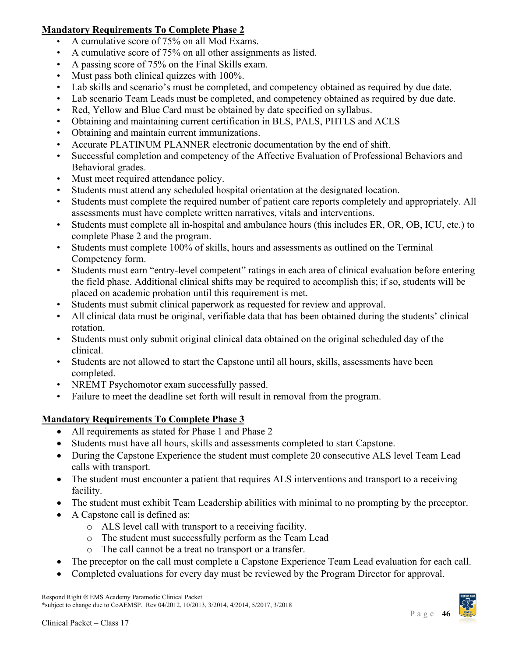# **Mandatory Requirements To Complete Phase 2**

- A cumulative score of 75% on all Mod Exams.
- A cumulative score of 75% on all other assignments as listed.
- A passing score of 75% on the Final Skills exam.
- Must pass both clinical quizzes with 100%.
- Lab skills and scenario's must be completed, and competency obtained as required by due date.
- Lab scenario Team Leads must be completed, and competency obtained as required by due date.
- Red, Yellow and Blue Card must be obtained by date specified on syllabus.
- Obtaining and maintaining current certification in BLS, PALS, PHTLS and ACLS
- Obtaining and maintain current immunizations.
- Accurate PLATINUM PLANNER electronic documentation by the end of shift.
- Successful completion and competency of the Affective Evaluation of Professional Behaviors and Behavioral grades.
- Must meet required attendance policy.
- Students must attend any scheduled hospital orientation at the designated location.
- Students must complete the required number of patient care reports completely and appropriately. All assessments must have complete written narratives, vitals and interventions.
- Students must complete all in-hospital and ambulance hours (this includes ER, OR, OB, ICU, etc.) to complete Phase 2 and the program.
- Students must complete 100% of skills, hours and assessments as outlined on the Terminal Competency form.
- Students must earn "entry-level competent" ratings in each area of clinical evaluation before entering the field phase. Additional clinical shifts may be required to accomplish this; if so, students will be placed on academic probation until this requirement is met.
- Students must submit clinical paperwork as requested for review and approval.
- All clinical data must be original, verifiable data that has been obtained during the students' clinical rotation.
- Students must only submit original clinical data obtained on the original scheduled day of the clinical.
- Students are not allowed to start the Capstone until all hours, skills, assessments have been completed.
- NREMT Psychomotor exam successfully passed.
- Failure to meet the deadline set forth will result in removal from the program.

# <span id="page-45-0"></span>**Mandatory Requirements To Complete Phase 3**

- All requirements as stated for Phase 1 and Phase 2
- Students must have all hours, skills and assessments completed to start Capstone.
- During the Capstone Experience the student must complete 20 consecutive ALS level Team Lead calls with transport.
- The student must encounter a patient that requires ALS interventions and transport to a receiving facility.
- The student must exhibit Team Leadership abilities with minimal to no prompting by the preceptor.
- A Capstone call is defined as:
	- o ALS level call with transport to a receiving facility.
	- o The student must successfully perform as the Team Lead
	- o The call cannot be a treat no transport or a transfer.
- The preceptor on the call must complete a Capstone Experience Team Lead evaluation for each call.
- Completed evaluations for every day must be reviewed by the Program Director for approval.

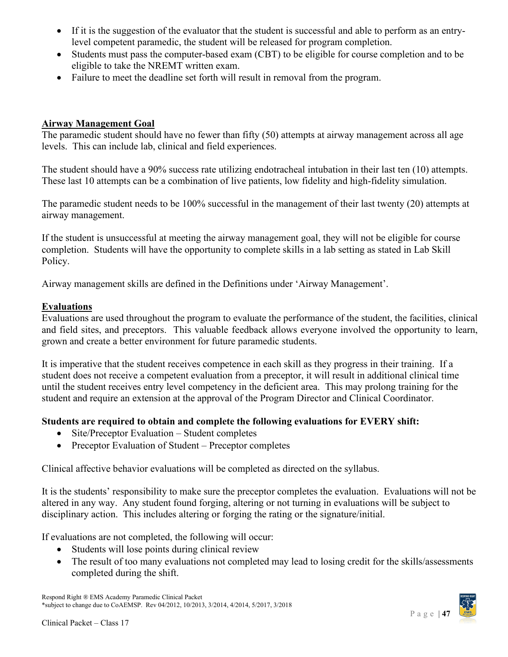- If it is the suggestion of the evaluator that the student is successful and able to perform as an entrylevel competent paramedic, the student will be released for program completion.
- Students must pass the computer-based exam (CBT) to be eligible for course completion and to be eligible to take the NREMT written exam.
- Failure to meet the deadline set forth will result in removal from the program.

### <span id="page-46-0"></span>**Airway Management Goal**

The paramedic student should have no fewer than fifty (50) attempts at airway management across all age levels. This can include lab, clinical and field experiences.

The student should have a 90% success rate utilizing endotracheal intubation in their last ten (10) attempts. These last 10 attempts can be a combination of live patients, low fidelity and high-fidelity simulation.

The paramedic student needs to be 100% successful in the management of their last twenty (20) attempts at airway management.

If the student is unsuccessful at meeting the airway management goal, they will not be eligible for course completion. Students will have the opportunity to complete skills in a lab setting as stated in Lab Skill Policy.

Airway management skills are defined in the Definitions under 'Airway Management'.

### <span id="page-46-1"></span>**Evaluations**

Evaluations are used throughout the program to evaluate the performance of the student, the facilities, clinical and field sites, and preceptors. This valuable feedback allows everyone involved the opportunity to learn, grown and create a better environment for future paramedic students.

It is imperative that the student receives competence in each skill as they progress in their training. If a student does not receive a competent evaluation from a preceptor, it will result in additional clinical time until the student receives entry level competency in the deficient area. This may prolong training for the student and require an extension at the approval of the Program Director and Clinical Coordinator.

### **Students are required to obtain and complete the following evaluations for EVERY shift:**

- Site/Preceptor Evaluation Student completes
- Preceptor Evaluation of Student Preceptor completes

Clinical affective behavior evaluations will be completed as directed on the syllabus.

It is the students' responsibility to make sure the preceptor completes the evaluation. Evaluations will not be altered in any way. Any student found forging, altering or not turning in evaluations will be subject to disciplinary action. This includes altering or forging the rating or the signature/initial.

If evaluations are not completed, the following will occur:

- Students will lose points during clinical review
- The result of too many evaluations not completed may lead to losing credit for the skills/assessments completed during the shift.

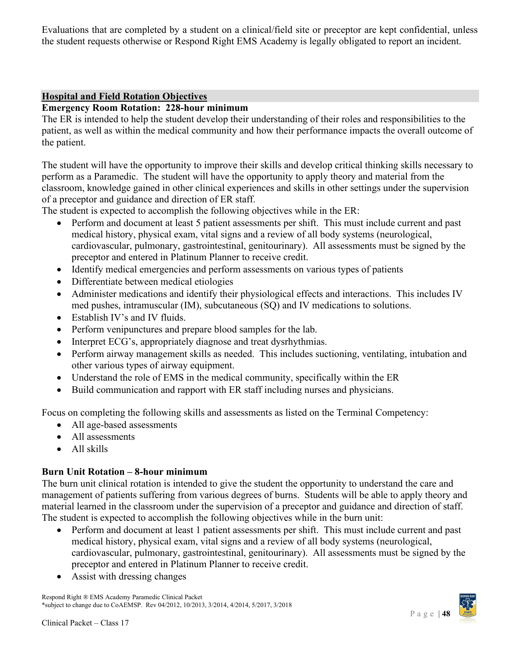<span id="page-47-0"></span>Evaluations that are completed by a student on a clinical/field site or preceptor are kept confidential, unless the student requests otherwise or Respond Right EMS Academy is legally obligated to report an incident.

### <span id="page-47-1"></span>**Hospital and Field Rotation Objectives**

### **Emergency Room Rotation: 228-hour minimum**

The ER is intended to help the student develop their understanding of their roles and responsibilities to the patient, as well as within the medical community and how their performance impacts the overall outcome of the patient.

The student will have the opportunity to improve their skills and develop critical thinking skills necessary to perform as a Paramedic. The student will have the opportunity to apply theory and material from the classroom, knowledge gained in other clinical experiences and skills in other settings under the supervision of a preceptor and guidance and direction of ER staff.

The student is expected to accomplish the following objectives while in the ER:

- Perform and document at least 5 patient assessments per shift. This must include current and past medical history, physical exam, vital signs and a review of all body systems (neurological, cardiovascular, pulmonary, gastrointestinal, genitourinary). All assessments must be signed by the preceptor and entered in Platinum Planner to receive credit.
- Identify medical emergencies and perform assessments on various types of patients
- Differentiate between medical etiologies
- Administer medications and identify their physiological effects and interactions. This includes IV med pushes, intramuscular (IM), subcutaneous (SQ) and IV medications to solutions.
- Establish IV's and IV fluids.
- Perform venipunctures and prepare blood samples for the lab.
- Interpret ECG's, appropriately diagnose and treat dysrhythmias.
- Perform airway management skills as needed. This includes suctioning, ventilating, intubation and other various types of airway equipment.
- Understand the role of EMS in the medical community, specifically within the ER
- Build communication and rapport with ER staff including nurses and physicians.

Focus on completing the following skills and assessments as listed on the Terminal Competency:

- All age-based assessments
- All assessments
- All skills

### **Burn Unit Rotation – 8-hour minimum**

The burn unit clinical rotation is intended to give the student the opportunity to understand the care and management of patients suffering from various degrees of burns. Students will be able to apply theory and material learned in the classroom under the supervision of a preceptor and guidance and direction of staff. The student is expected to accomplish the following objectives while in the burn unit:

- Perform and document at least 1 patient assessments per shift. This must include current and past medical history, physical exam, vital signs and a review of all body systems (neurological, cardiovascular, pulmonary, gastrointestinal, genitourinary). All assessments must be signed by the preceptor and entered in Platinum Planner to receive credit.
- Assist with dressing changes

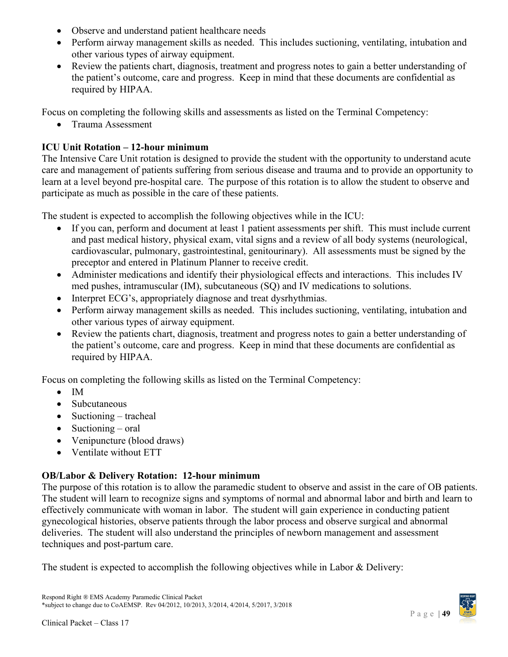- Observe and understand patient healthcare needs
- Perform airway management skills as needed. This includes suctioning, ventilating, intubation and other various types of airway equipment.
- Review the patients chart, diagnosis, treatment and progress notes to gain a better understanding of the patient's outcome, care and progress. Keep in mind that these documents are confidential as required by HIPAA.

Focus on completing the following skills and assessments as listed on the Terminal Competency:

• Trauma Assessment

# **ICU Unit Rotation – 12-hour minimum**

The Intensive Care Unit rotation is designed to provide the student with the opportunity to understand acute care and management of patients suffering from serious disease and trauma and to provide an opportunity to learn at a level beyond pre-hospital care. The purpose of this rotation is to allow the student to observe and participate as much as possible in the care of these patients.

The student is expected to accomplish the following objectives while in the ICU:

- If you can, perform and document at least 1 patient assessments per shift. This must include current and past medical history, physical exam, vital signs and a review of all body systems (neurological, cardiovascular, pulmonary, gastrointestinal, genitourinary). All assessments must be signed by the preceptor and entered in Platinum Planner to receive credit.
- Administer medications and identify their physiological effects and interactions. This includes IV med pushes, intramuscular (IM), subcutaneous (SQ) and IV medications to solutions.
- Interpret ECG's, appropriately diagnose and treat dysrhythmias.
- Perform airway management skills as needed. This includes suctioning, ventilating, intubation and other various types of airway equipment.
- Review the patients chart, diagnosis, treatment and progress notes to gain a better understanding of the patient's outcome, care and progress. Keep in mind that these documents are confidential as required by HIPAA.

Focus on completing the following skills as listed on the Terminal Competency:

- IM
- Subcutaneous
- Suctioning tracheal
- Suctioning oral
- Venipuncture (blood draws)
- Ventilate without ETT

# **OB/Labor & Delivery Rotation: 12-hour minimum**

The purpose of this rotation is to allow the paramedic student to observe and assist in the care of OB patients. The student will learn to recognize signs and symptoms of normal and abnormal labor and birth and learn to effectively communicate with woman in labor. The student will gain experience in conducting patient gynecological histories, observe patients through the labor process and observe surgical and abnormal deliveries. The student will also understand the principles of newborn management and assessment techniques and post-partum care.

The student is expected to accomplish the following objectives while in Labor & Delivery:

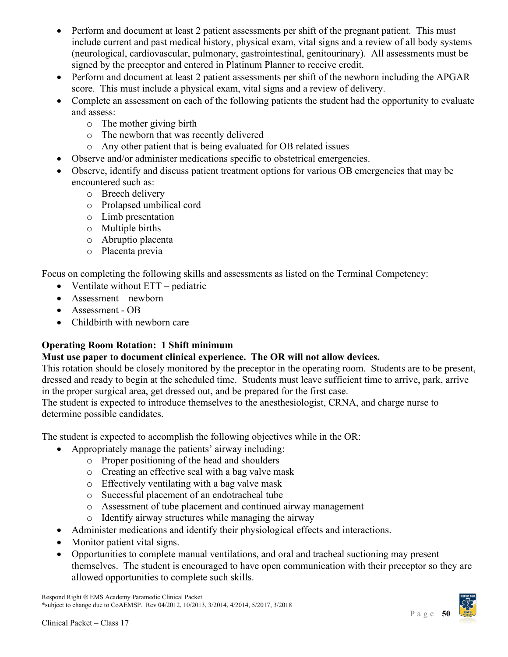- Perform and document at least 2 patient assessments per shift of the pregnant patient. This must include current and past medical history, physical exam, vital signs and a review of all body systems (neurological, cardiovascular, pulmonary, gastrointestinal, genitourinary). All assessments must be signed by the preceptor and entered in Platinum Planner to receive credit.
- Perform and document at least 2 patient assessments per shift of the newborn including the APGAR score. This must include a physical exam, vital signs and a review of delivery.
- Complete an assessment on each of the following patients the student had the opportunity to evaluate and assess:
	- o The mother giving birth
	- o The newborn that was recently delivered
	- o Any other patient that is being evaluated for OB related issues
	- Observe and/or administer medications specific to obstetrical emergencies.
- Observe, identify and discuss patient treatment options for various OB emergencies that may be encountered such as:
	- o Breech delivery
	- o Prolapsed umbilical cord
	- o Limb presentation
	- o Multiple births
	- o Abruptio placenta
	- o Placenta previa

Focus on completing the following skills and assessments as listed on the Terminal Competency:

- Ventilate without  $ETT pediatric$
- Assessment newborn
- Assessment OB
- Childbirth with newborn care

# **Operating Room Rotation: 1 Shift minimum**

# **Must use paper to document clinical experience. The OR will not allow devices.**

This rotation should be closely monitored by the preceptor in the operating room. Students are to be present, dressed and ready to begin at the scheduled time. Students must leave sufficient time to arrive, park, arrive in the proper surgical area, get dressed out, and be prepared for the first case.

The student is expected to introduce themselves to the anesthesiologist, CRNA, and charge nurse to determine possible candidates.

The student is expected to accomplish the following objectives while in the OR:

- Appropriately manage the patients' airway including:
	- o Proper positioning of the head and shoulders
	- o Creating an effective seal with a bag valve mask
	- o Effectively ventilating with a bag valve mask
	- o Successful placement of an endotracheal tube
	- o Assessment of tube placement and continued airway management
	- o Identify airway structures while managing the airway
- Administer medications and identify their physiological effects and interactions.
- Monitor patient vital signs.
- Opportunities to complete manual ventilations, and oral and tracheal suctioning may present themselves. The student is encouraged to have open communication with their preceptor so they are allowed opportunities to complete such skills.

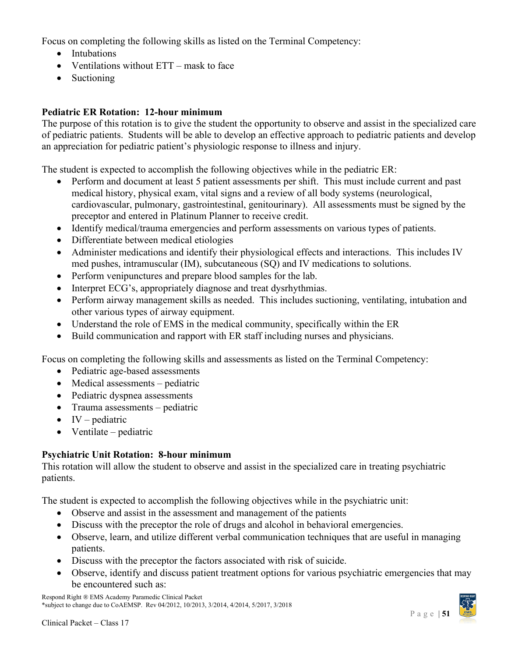Focus on completing the following skills as listed on the Terminal Competency:

- Intubations
- Ventilations without ETT mask to face
- Suctioning

# **Pediatric ER Rotation: 12-hour minimum**

The purpose of this rotation is to give the student the opportunity to observe and assist in the specialized care of pediatric patients. Students will be able to develop an effective approach to pediatric patients and develop an appreciation for pediatric patient's physiologic response to illness and injury.

The student is expected to accomplish the following objectives while in the pediatric ER:

- Perform and document at least 5 patient assessments per shift. This must include current and past medical history, physical exam, vital signs and a review of all body systems (neurological, cardiovascular, pulmonary, gastrointestinal, genitourinary). All assessments must be signed by the preceptor and entered in Platinum Planner to receive credit.
- Identify medical/trauma emergencies and perform assessments on various types of patients.
- Differentiate between medical etiologies
- Administer medications and identify their physiological effects and interactions. This includes IV med pushes, intramuscular (IM), subcutaneous (SQ) and IV medications to solutions.
- Perform venipunctures and prepare blood samples for the lab.
- Interpret ECG's, appropriately diagnose and treat dysrhythmias.
- Perform airway management skills as needed. This includes suctioning, ventilating, intubation and other various types of airway equipment.
- Understand the role of EMS in the medical community, specifically within the ER
- Build communication and rapport with ER staff including nurses and physicians.

Focus on completing the following skills and assessments as listed on the Terminal Competency:

- Pediatric age-based assessments
- Medical assessments pediatric
- Pediatric dyspnea assessments
- Trauma assessments pediatric
- $\bullet$  IV pediatric
- Ventilate pediatric

# **Psychiatric Unit Rotation: 8-hour minimum**

This rotation will allow the student to observe and assist in the specialized care in treating psychiatric patients.

The student is expected to accomplish the following objectives while in the psychiatric unit:

- Observe and assist in the assessment and management of the patients
- Discuss with the preceptor the role of drugs and alcohol in behavioral emergencies.
- Observe, learn, and utilize different verbal communication techniques that are useful in managing patients.
- Discuss with the preceptor the factors associated with risk of suicide.
- Observe, identify and discuss patient treatment options for various psychiatric emergencies that may be encountered such as:

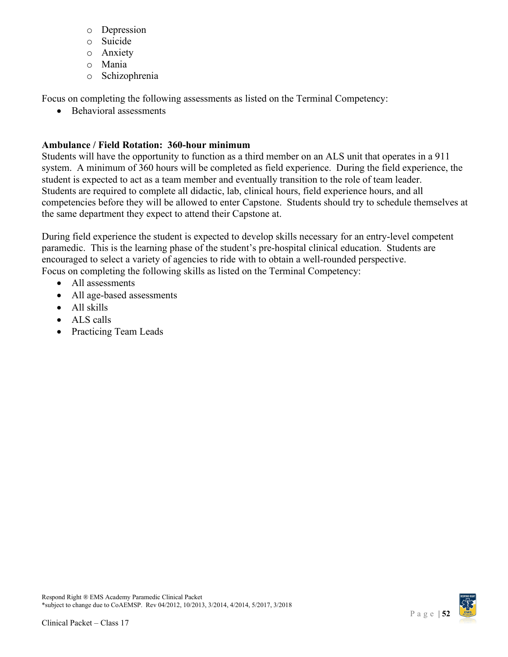- o Depression
- o Suicide
- o Anxiety
- o Mania
- o Schizophrenia

Focus on completing the following assessments as listed on the Terminal Competency:

• Behavioral assessments

# **Ambulance / Field Rotation: 360-hour minimum**

Students will have the opportunity to function as a third member on an ALS unit that operates in a 911 system. A minimum of 360 hours will be completed as field experience. During the field experience, the student is expected to act as a team member and eventually transition to the role of team leader. Students are required to complete all didactic, lab, clinical hours, field experience hours, and all competencies before they will be allowed to enter Capstone. Students should try to schedule themselves at the same department they expect to attend their Capstone at.

During field experience the student is expected to develop skills necessary for an entry-level competent paramedic. This is the learning phase of the student's pre-hospital clinical education. Students are encouraged to select a variety of agencies to ride with to obtain a well-rounded perspective. Focus on completing the following skills as listed on the Terminal Competency:

- All assessments
- All age-based assessments
- All skills
- ALS calls
- Practicing Team Leads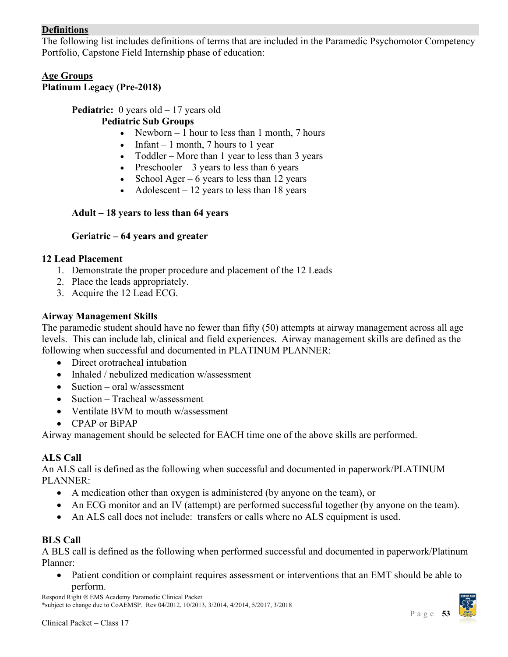# <span id="page-52-0"></span>**Definitions**

The following list includes definitions of terms that are included in the Paramedic Psychomotor Competency Portfolio, Capstone Field Internship phase of education:

### <span id="page-52-1"></span>**Age Groups Platinum Legacy (Pre-2018)**

# **Pediatric:** 0 years old – 17 years old

### **Pediatric Sub Groups**

- Newborn  $-1$  hour to less than 1 month, 7 hours
- Infant 1 month, 7 hours to 1 year
- Toddler More than 1 year to less than 3 years
- Preschooler  $-3$  years to less than 6 years
- School Ager 6 years to less than 12 years
- Adolescent  $-12$  years to less than 18 years

# **Adult – 18 years to less than 64 years**

# **Geriatric – 64 years and greater**

### **12 Lead Placement**

- 1. Demonstrate the proper procedure and placement of the 12 Leads
- 2. Place the leads appropriately.
- 3. Acquire the 12 Lead ECG.

### **Airway Management Skills**

The paramedic student should have no fewer than fifty (50) attempts at airway management across all age levels. This can include lab, clinical and field experiences. Airway management skills are defined as the following when successful and documented in PLATINUM PLANNER:

- Direct orotracheal intubation
- Inhaled / nebulized medication w/assessment
- Suction oral w/assessment
- Suction Tracheal w/assessment
- Ventilate BVM to mouth w/assessment
- CPAP or BiPAP

Airway management should be selected for EACH time one of the above skills are performed.

# **ALS Call**

An ALS call is defined as the following when successful and documented in paperwork/PLATINUM PLANNER:

- A medication other than oxygen is administered (by anyone on the team), or
- An ECG monitor and an IV (attempt) are performed successful together (by anyone on the team).
- An ALS call does not include: transfers or calls where no ALS equipment is used.

# **BLS Call**

A BLS call is defined as the following when performed successful and documented in paperwork/Platinum Planner:

• Patient condition or complaint requires assessment or interventions that an EMT should be able to perform.

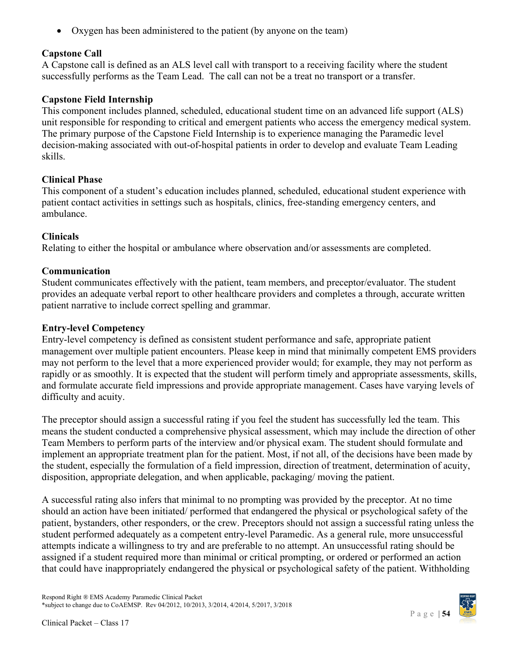• Oxygen has been administered to the patient (by anyone on the team)

# **Capstone Call**

A Capstone call is defined as an ALS level call with transport to a receiving facility where the student successfully performs as the Team Lead. The call can not be a treat no transport or a transfer.

# **Capstone Field Internship**

This component includes planned, scheduled, educational student time on an advanced life support (ALS) unit responsible for responding to critical and emergent patients who access the emergency medical system. The primary purpose of the Capstone Field Internship is to experience managing the Paramedic level decision-making associated with out-of-hospital patients in order to develop and evaluate Team Leading skills.

# **Clinical Phase**

This component of a student's education includes planned, scheduled, educational student experience with patient contact activities in settings such as hospitals, clinics, free-standing emergency centers, and ambulance.

# **Clinicals**

Relating to either the hospital or ambulance where observation and/or assessments are completed.

# **Communication**

Student communicates effectively with the patient, team members, and preceptor/evaluator. The student provides an adequate verbal report to other healthcare providers and completes a through, accurate written patient narrative to include correct spelling and grammar.

# **Entry-level Competency**

Entry-level competency is defined as consistent student performance and safe, appropriate patient management over multiple patient encounters. Please keep in mind that minimally competent EMS providers may not perform to the level that a more experienced provider would; for example, they may not perform as rapidly or as smoothly. It is expected that the student will perform timely and appropriate assessments, skills, and formulate accurate field impressions and provide appropriate management. Cases have varying levels of difficulty and acuity.

The preceptor should assign a successful rating if you feel the student has successfully led the team. This means the student conducted a comprehensive physical assessment, which may include the direction of other Team Members to perform parts of the interview and/or physical exam. The student should formulate and implement an appropriate treatment plan for the patient. Most, if not all, of the decisions have been made by the student, especially the formulation of a field impression, direction of treatment, determination of acuity, disposition, appropriate delegation, and when applicable, packaging/ moving the patient.

A successful rating also infers that minimal to no prompting was provided by the preceptor. At no time should an action have been initiated/ performed that endangered the physical or psychological safety of the patient, bystanders, other responders, or the crew. Preceptors should not assign a successful rating unless the student performed adequately as a competent entry-level Paramedic. As a general rule, more unsuccessful attempts indicate a willingness to try and are preferable to no attempt. An unsuccessful rating should be assigned if a student required more than minimal or critical prompting, or ordered or performed an action that could have inappropriately endangered the physical or psychological safety of the patient. Withholding

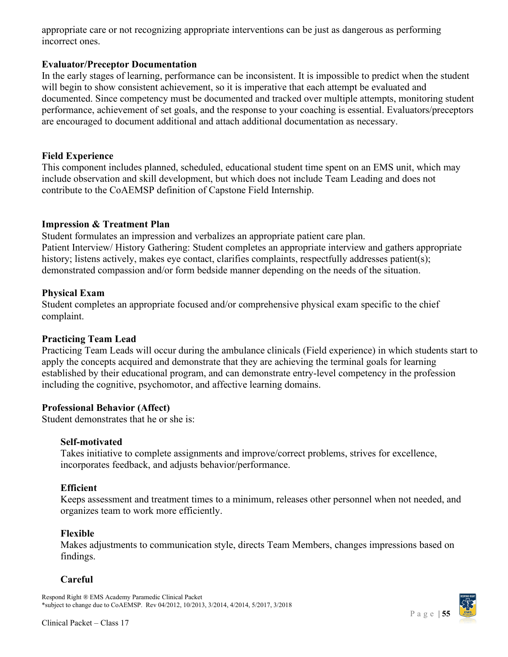appropriate care or not recognizing appropriate interventions can be just as dangerous as performing incorrect ones.

### **Evaluator/Preceptor Documentation**

In the early stages of learning, performance can be inconsistent. It is impossible to predict when the student will begin to show consistent achievement, so it is imperative that each attempt be evaluated and documented. Since competency must be documented and tracked over multiple attempts, monitoring student performance, achievement of set goals, and the response to your coaching is essential. Evaluators/preceptors are encouraged to document additional and attach additional documentation as necessary.

### **Field Experience**

This component includes planned, scheduled, educational student time spent on an EMS unit, which may include observation and skill development, but which does not include Team Leading and does not contribute to the CoAEMSP definition of Capstone Field Internship.

### **Impression & Treatment Plan**

Student formulates an impression and verbalizes an appropriate patient care plan. Patient Interview/ History Gathering: Student completes an appropriate interview and gathers appropriate history; listens actively, makes eye contact, clarifies complaints, respectfully addresses patient(s); demonstrated compassion and/or form bedside manner depending on the needs of the situation.

### **Physical Exam**

Student completes an appropriate focused and/or comprehensive physical exam specific to the chief complaint.

### **Practicing Team Lead**

Practicing Team Leads will occur during the ambulance clinicals (Field experience) in which students start to apply the concepts acquired and demonstrate that they are achieving the terminal goals for learning established by their educational program, and can demonstrate entry-level competency in the profession including the cognitive, psychomotor, and affective learning domains.

### **Professional Behavior (Affect)**

Student demonstrates that he or she is:

### **Self-motivated**

Takes initiative to complete assignments and improve/correct problems, strives for excellence, incorporates feedback, and adjusts behavior/performance.

### **Efficient**

Keeps assessment and treatment times to a minimum, releases other personnel when not needed, and organizes team to work more efficiently.

### **Flexible**

Makes adjustments to communication style, directs Team Members, changes impressions based on findings.

### **Careful**

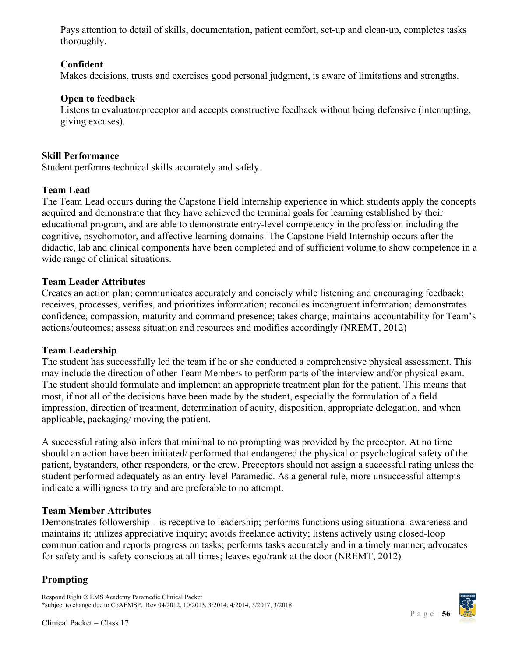Pays attention to detail of skills, documentation, patient comfort, set-up and clean-up, completes tasks thoroughly.

# **Confident**

Makes decisions, trusts and exercises good personal judgment, is aware of limitations and strengths.

# **Open to feedback**

Listens to evaluator/preceptor and accepts constructive feedback without being defensive (interrupting, giving excuses).

### **Skill Performance**

Student performs technical skills accurately and safely.

# **Team Lead**

The Team Lead occurs during the Capstone Field Internship experience in which students apply the concepts acquired and demonstrate that they have achieved the terminal goals for learning established by their educational program, and are able to demonstrate entry-level competency in the profession including the cognitive, psychomotor, and affective learning domains. The Capstone Field Internship occurs after the didactic, lab and clinical components have been completed and of sufficient volume to show competence in a wide range of clinical situations.

# **Team Leader Attributes**

Creates an action plan; communicates accurately and concisely while listening and encouraging feedback; receives, processes, verifies, and prioritizes information; reconciles incongruent information; demonstrates confidence, compassion, maturity and command presence; takes charge; maintains accountability for Team's actions/outcomes; assess situation and resources and modifies accordingly (NREMT, 2012)

### **Team Leadership**

The student has successfully led the team if he or she conducted a comprehensive physical assessment. This may include the direction of other Team Members to perform parts of the interview and/or physical exam. The student should formulate and implement an appropriate treatment plan for the patient. This means that most, if not all of the decisions have been made by the student, especially the formulation of a field impression, direction of treatment, determination of acuity, disposition, appropriate delegation, and when applicable, packaging/ moving the patient.

A successful rating also infers that minimal to no prompting was provided by the preceptor. At no time should an action have been initiated/ performed that endangered the physical or psychological safety of the patient, bystanders, other responders, or the crew. Preceptors should not assign a successful rating unless the student performed adequately as an entry-level Paramedic. As a general rule, more unsuccessful attempts indicate a willingness to try and are preferable to no attempt.

# **Team Member Attributes**

Demonstrates followership – is receptive to leadership; performs functions using situational awareness and maintains it; utilizes appreciative inquiry; avoids freelance activity; listens actively using closed-loop communication and reports progress on tasks; performs tasks accurately and in a timely manner; advocates for safety and is safety conscious at all times; leaves ego/rank at the door (NREMT, 2012)

# **Prompting**

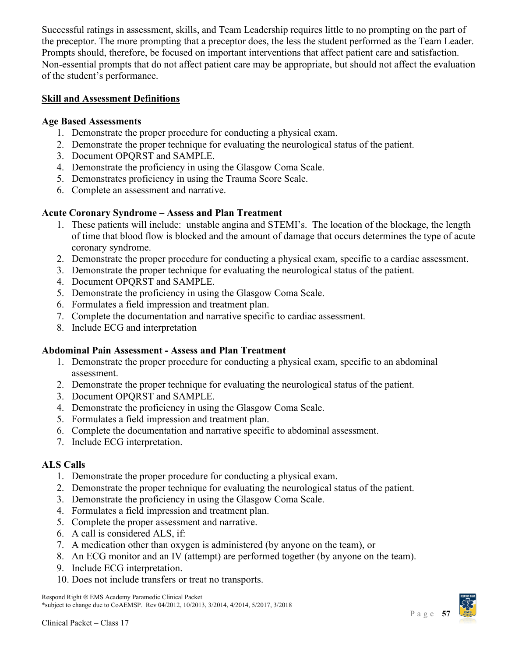Successful ratings in assessment, skills, and Team Leadership requires little to no prompting on the part of the preceptor. The more prompting that a preceptor does, the less the student performed as the Team Leader. Prompts should, therefore, be focused on important interventions that affect patient care and satisfaction. Non-essential prompts that do not affect patient care may be appropriate, but should not affect the evaluation of the student's performance.

### <span id="page-56-0"></span>**Skill and Assessment Definitions**

### **Age Based Assessments**

- 1. Demonstrate the proper procedure for conducting a physical exam.
- 2. Demonstrate the proper technique for evaluating the neurological status of the patient.
- 3. Document OPQRST and SAMPLE.
- 4. Demonstrate the proficiency in using the Glasgow Coma Scale.
- 5. Demonstrates proficiency in using the Trauma Score Scale.
- 6. Complete an assessment and narrative.

### **Acute Coronary Syndrome – Assess and Plan Treatment**

- 1. These patients will include: unstable angina and STEMI's. The location of the blockage, the length of time that blood flow is blocked and the amount of damage that occurs determines the type of acute coronary syndrome.
- 2. Demonstrate the proper procedure for conducting a physical exam, specific to a cardiac assessment.
- 3. Demonstrate the proper technique for evaluating the neurological status of the patient.
- 4. Document OPQRST and SAMPLE.
- 5. Demonstrate the proficiency in using the Glasgow Coma Scale.
- 6. Formulates a field impression and treatment plan.
- 7. Complete the documentation and narrative specific to cardiac assessment.
- 8. Include ECG and interpretation

### **Abdominal Pain Assessment - Assess and Plan Treatment**

- 1. Demonstrate the proper procedure for conducting a physical exam, specific to an abdominal assessment.
- 2. Demonstrate the proper technique for evaluating the neurological status of the patient.
- 3. Document OPQRST and SAMPLE.
- 4. Demonstrate the proficiency in using the Glasgow Coma Scale.
- 5. Formulates a field impression and treatment plan.
- 6. Complete the documentation and narrative specific to abdominal assessment.
- 7. Include ECG interpretation.

### **ALS Calls**

- 1. Demonstrate the proper procedure for conducting a physical exam.
- 2. Demonstrate the proper technique for evaluating the neurological status of the patient.
- 3. Demonstrate the proficiency in using the Glasgow Coma Scale.
- 4. Formulates a field impression and treatment plan.
- 5. Complete the proper assessment and narrative.
- 6. A call is considered ALS, if:
- 7. A medication other than oxygen is administered (by anyone on the team), or
- 8. An ECG monitor and an IV (attempt) are performed together (by anyone on the team).
- 9. Include ECG interpretation.
- 10. Does not include transfers or treat no transports.

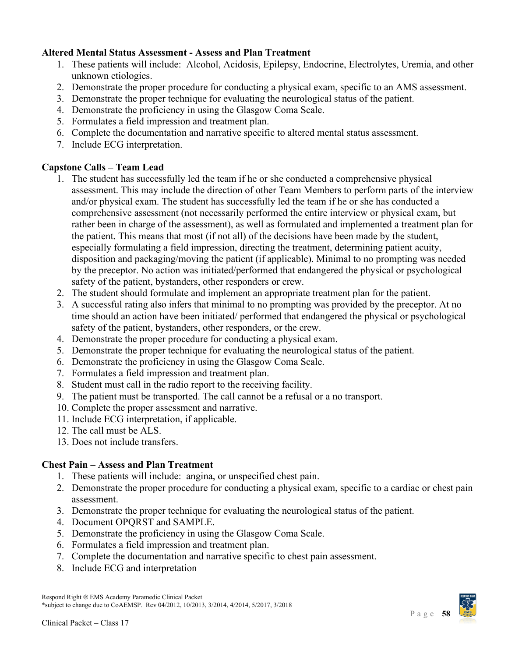### **Altered Mental Status Assessment - Assess and Plan Treatment**

- 1. These patients will include: Alcohol, Acidosis, Epilepsy, Endocrine, Electrolytes, Uremia, and other unknown etiologies.
- 2. Demonstrate the proper procedure for conducting a physical exam, specific to an AMS assessment.
- 3. Demonstrate the proper technique for evaluating the neurological status of the patient.
- 4. Demonstrate the proficiency in using the Glasgow Coma Scale.
- 5. Formulates a field impression and treatment plan.
- 6. Complete the documentation and narrative specific to altered mental status assessment.
- 7. Include ECG interpretation.

### **Capstone Calls – Team Lead**

- 1. The student has successfully led the team if he or she conducted a comprehensive physical assessment. This may include the direction of other Team Members to perform parts of the interview and/or physical exam. The student has successfully led the team if he or she has conducted a comprehensive assessment (not necessarily performed the entire interview or physical exam, but rather been in charge of the assessment), as well as formulated and implemented a treatment plan for the patient. This means that most (if not all) of the decisions have been made by the student, especially formulating a field impression, directing the treatment, determining patient acuity, disposition and packaging/moving the patient (if applicable). Minimal to no prompting was needed by the preceptor. No action was initiated/performed that endangered the physical or psychological safety of the patient, bystanders, other responders or crew.
- 2. The student should formulate and implement an appropriate treatment plan for the patient.
- 3. A successful rating also infers that minimal to no prompting was provided by the preceptor. At no time should an action have been initiated/ performed that endangered the physical or psychological safety of the patient, bystanders, other responders, or the crew.
- 4. Demonstrate the proper procedure for conducting a physical exam.
- 5. Demonstrate the proper technique for evaluating the neurological status of the patient.
- 6. Demonstrate the proficiency in using the Glasgow Coma Scale.
- 7. Formulates a field impression and treatment plan.
- 8. Student must call in the radio report to the receiving facility.
- 9. The patient must be transported. The call cannot be a refusal or a no transport.
- 10. Complete the proper assessment and narrative.
- 11. Include ECG interpretation, if applicable.
- 12. The call must be ALS.
- 13. Does not include transfers.

# **Chest Pain – Assess and Plan Treatment**

- 1. These patients will include: angina, or unspecified chest pain.
- 2. Demonstrate the proper procedure for conducting a physical exam, specific to a cardiac or chest pain assessment.
- 3. Demonstrate the proper technique for evaluating the neurological status of the patient.
- 4. Document OPQRST and SAMPLE.
- 5. Demonstrate the proficiency in using the Glasgow Coma Scale.
- 6. Formulates a field impression and treatment plan.
- 7. Complete the documentation and narrative specific to chest pain assessment.
- 8. Include ECG and interpretation

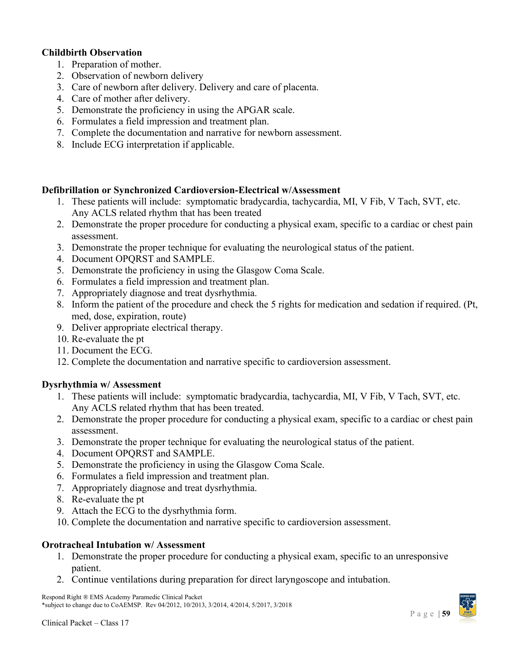### **Childbirth Observation**

- 1. Preparation of mother.
- 2. Observation of newborn delivery
- 3. Care of newborn after delivery. Delivery and care of placenta.
- 4. Care of mother after delivery.
- 5. Demonstrate the proficiency in using the APGAR scale.
- 6. Formulates a field impression and treatment plan.
- 7. Complete the documentation and narrative for newborn assessment.
- 8. Include ECG interpretation if applicable.

### **Defibrillation or Synchronized Cardioversion-Electrical w/Assessment**

- 1. These patients will include: symptomatic bradycardia, tachycardia, MI, V Fib, V Tach, SVT, etc. Any ACLS related rhythm that has been treated
- 2. Demonstrate the proper procedure for conducting a physical exam, specific to a cardiac or chest pain assessment.
- 3. Demonstrate the proper technique for evaluating the neurological status of the patient.
- 4. Document OPQRST and SAMPLE.
- 5. Demonstrate the proficiency in using the Glasgow Coma Scale.
- 6. Formulates a field impression and treatment plan.
- 7. Appropriately diagnose and treat dysrhythmia.
- 8. Inform the patient of the procedure and check the 5 rights for medication and sedation if required. (Pt, med, dose, expiration, route)
- 9. Deliver appropriate electrical therapy.
- 10. Re-evaluate the pt
- 11. Document the ECG.
- 12. Complete the documentation and narrative specific to cardioversion assessment.

### **Dysrhythmia w/ Assessment**

- 1. These patients will include: symptomatic bradycardia, tachycardia, MI, V Fib, V Tach, SVT, etc. Any ACLS related rhythm that has been treated.
- 2. Demonstrate the proper procedure for conducting a physical exam, specific to a cardiac or chest pain assessment.
- 3. Demonstrate the proper technique for evaluating the neurological status of the patient.
- 4. Document OPQRST and SAMPLE.
- 5. Demonstrate the proficiency in using the Glasgow Coma Scale.
- 6. Formulates a field impression and treatment plan.
- 7. Appropriately diagnose and treat dysrhythmia.
- 8. Re-evaluate the pt
- 9. Attach the ECG to the dysrhythmia form.
- 10. Complete the documentation and narrative specific to cardioversion assessment.

### **Orotracheal Intubation w/ Assessment**

- 1. Demonstrate the proper procedure for conducting a physical exam, specific to an unresponsive patient.
- 2. Continue ventilations during preparation for direct laryngoscope and intubation.

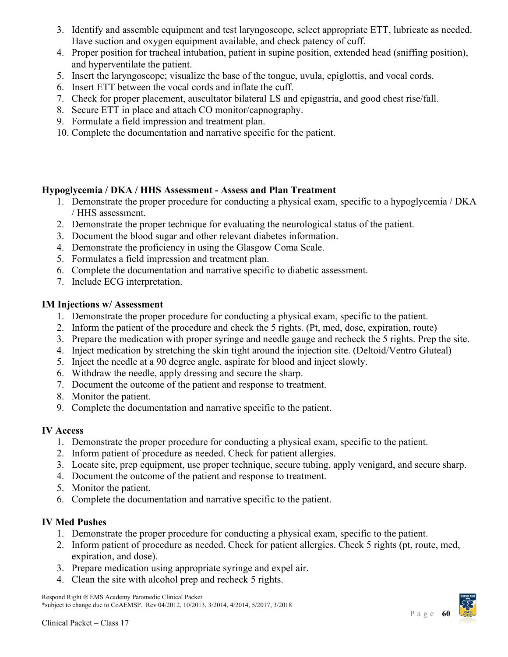- 3. Identify and assemble equipment and test laryngoscope, select appropriate ETT, lubricate as needed. Have suction and oxygen equipment available, and check patency of cuff.
- 4. Proper position for tracheal intubation, patient in supine position, extended head (sniffing position), and hyperventilate the patient.
- 5. Insert the laryngoscope; visualize the base of the tongue, uvula, epiglottis, and vocal cords.
- 6. Insert ETT between the vocal cords and inflate the cuff.
- 7. Check for proper placement, auscultator bilateral LS and epigastria, and good chest rise/fall.
- 8. Secure ETT in place and attach CO monitor/capnography.
- 9. Formulate a field impression and treatment plan.
- 10. Complete the documentation and narrative specific for the patient.

# **Hypoglycemia / DKA / HHS Assessment - Assess and Plan Treatment**

- 1. Demonstrate the proper procedure for conducting a physical exam, specific to a hypoglycemia / DKA / HHS assessment.
- 2. Demonstrate the proper technique for evaluating the neurological status of the patient.
- 3. Document the blood sugar and other relevant diabetes information.
- 4. Demonstrate the proficiency in using the Glasgow Coma Scale.
- 5. Formulates a field impression and treatment plan.
- 6. Complete the documentation and narrative specific to diabetic assessment.
- 7. Include ECG interpretation.

# **IM Injections w/ Assessment**

- 1. Demonstrate the proper procedure for conducting a physical exam, specific to the patient.
- 2. Inform the patient of the procedure and check the 5 rights. (Pt, med, dose, expiration, route)
- 3. Prepare the medication with proper syringe and needle gauge and recheck the 5 rights. Prep the site.
- 4. Inject medication by stretching the skin tight around the injection site. (Deltoid/Ventro Gluteal)
- 5. Inject the needle at a 90 degree angle, aspirate for blood and inject slowly.
- 6. Withdraw the needle, apply dressing and secure the sharp.
- 7. Document the outcome of the patient and response to treatment.
- 8. Monitor the patient.
- 9. Complete the documentation and narrative specific to the patient.

# **IV Access**

- 1. Demonstrate the proper procedure for conducting a physical exam, specific to the patient.
- 2. Inform patient of procedure as needed. Check for patient allergies.
- 3. Locate site, prep equipment, use proper technique, secure tubing, apply venigard, and secure sharp.
- 4. Document the outcome of the patient and response to treatment.
- 5. Monitor the patient.
- 6. Complete the documentation and narrative specific to the patient.

# **IV Med Pushes**

- 1. Demonstrate the proper procedure for conducting a physical exam, specific to the patient.
- 2. Inform patient of procedure as needed. Check for patient allergies. Check 5 rights (pt, route, med, expiration, and dose).
- 3. Prepare medication using appropriate syringe and expel air.
- 4. Clean the site with alcohol prep and recheck 5 rights.

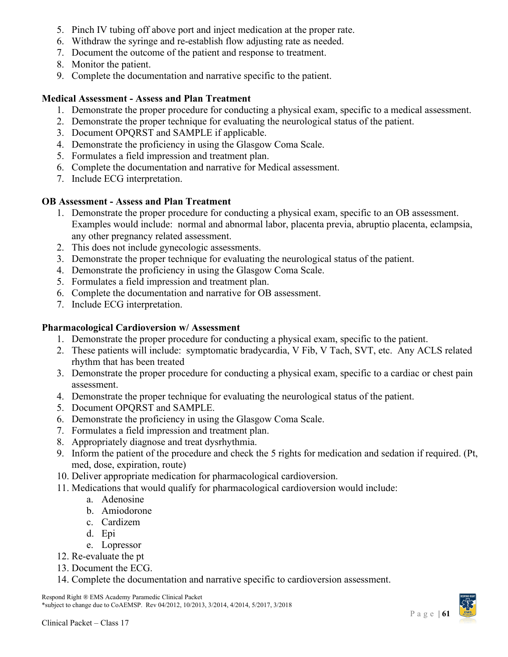- 5. Pinch IV tubing off above port and inject medication at the proper rate.
- 6. Withdraw the syringe and re-establish flow adjusting rate as needed.
- 7. Document the outcome of the patient and response to treatment.
- 8. Monitor the patient.
- 9. Complete the documentation and narrative specific to the patient.

# **Medical Assessment - Assess and Plan Treatment**

- 1. Demonstrate the proper procedure for conducting a physical exam, specific to a medical assessment.
- 2. Demonstrate the proper technique for evaluating the neurological status of the patient.
- 3. Document OPQRST and SAMPLE if applicable.
- 4. Demonstrate the proficiency in using the Glasgow Coma Scale.
- 5. Formulates a field impression and treatment plan.
- 6. Complete the documentation and narrative for Medical assessment.
- 7. Include ECG interpretation.

# **OB Assessment - Assess and Plan Treatment**

- 1. Demonstrate the proper procedure for conducting a physical exam, specific to an OB assessment. Examples would include: normal and abnormal labor, placenta previa, abruptio placenta, eclampsia, any other pregnancy related assessment.
- 2. This does not include gynecologic assessments.
- 3. Demonstrate the proper technique for evaluating the neurological status of the patient.
- 4. Demonstrate the proficiency in using the Glasgow Coma Scale.
- 5. Formulates a field impression and treatment plan.
- 6. Complete the documentation and narrative for OB assessment.
- 7. Include ECG interpretation.

# **Pharmacological Cardioversion w/ Assessment**

- 1. Demonstrate the proper procedure for conducting a physical exam, specific to the patient.
- 2. These patients will include: symptomatic bradycardia, V Fib, V Tach, SVT, etc. Any ACLS related rhythm that has been treated
- 3. Demonstrate the proper procedure for conducting a physical exam, specific to a cardiac or chest pain assessment.
- 4. Demonstrate the proper technique for evaluating the neurological status of the patient.
- 5. Document OPQRST and SAMPLE.
- 6. Demonstrate the proficiency in using the Glasgow Coma Scale.
- 7. Formulates a field impression and treatment plan.
- 8. Appropriately diagnose and treat dysrhythmia.
- 9. Inform the patient of the procedure and check the 5 rights for medication and sedation if required. (Pt, med, dose, expiration, route)
- 10. Deliver appropriate medication for pharmacological cardioversion.
- 11. Medications that would qualify for pharmacological cardioversion would include:
	- a. Adenosine
	- b. Amiodorone
	- c. Cardizem
	- d. Epi
	- e. Lopressor
- 12. Re-evaluate the pt
- 13. Document the ECG.
- 14. Complete the documentation and narrative specific to cardioversion assessment.

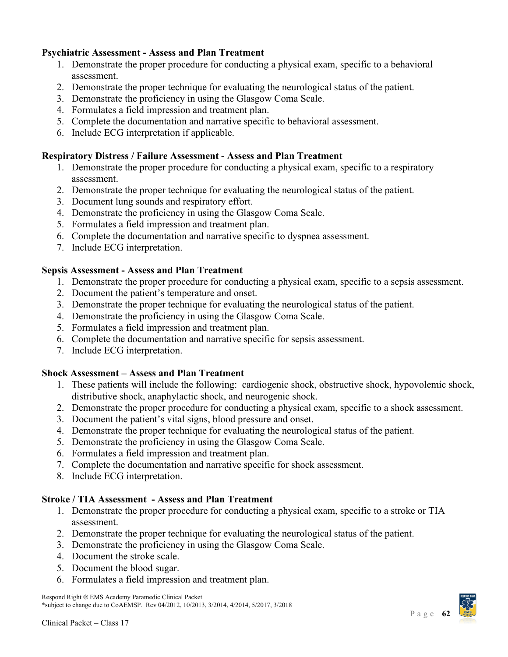### **Psychiatric Assessment - Assess and Plan Treatment**

- 1. Demonstrate the proper procedure for conducting a physical exam, specific to a behavioral assessment.
- 2. Demonstrate the proper technique for evaluating the neurological status of the patient.
- 3. Demonstrate the proficiency in using the Glasgow Coma Scale.
- 4. Formulates a field impression and treatment plan.
- 5. Complete the documentation and narrative specific to behavioral assessment.
- 6. Include ECG interpretation if applicable.

### **Respiratory Distress / Failure Assessment - Assess and Plan Treatment**

- 1. Demonstrate the proper procedure for conducting a physical exam, specific to a respiratory assessment.
- 2. Demonstrate the proper technique for evaluating the neurological status of the patient.
- 3. Document lung sounds and respiratory effort.
- 4. Demonstrate the proficiency in using the Glasgow Coma Scale.
- 5. Formulates a field impression and treatment plan.
- 6. Complete the documentation and narrative specific to dyspnea assessment.
- 7. Include ECG interpretation.

### **Sepsis Assessment - Assess and Plan Treatment**

- 1. Demonstrate the proper procedure for conducting a physical exam, specific to a sepsis assessment.
- 2. Document the patient's temperature and onset.
- 3. Demonstrate the proper technique for evaluating the neurological status of the patient.
- 4. Demonstrate the proficiency in using the Glasgow Coma Scale.
- 5. Formulates a field impression and treatment plan.
- 6. Complete the documentation and narrative specific for sepsis assessment.
- 7. Include ECG interpretation.

### **Shock Assessment – Assess and Plan Treatment**

- 1. These patients will include the following: cardiogenic shock, obstructive shock, hypovolemic shock, distributive shock, anaphylactic shock, and neurogenic shock.
- 2. Demonstrate the proper procedure for conducting a physical exam, specific to a shock assessment.
- 3. Document the patient's vital signs, blood pressure and onset.
- 4. Demonstrate the proper technique for evaluating the neurological status of the patient.
- 5. Demonstrate the proficiency in using the Glasgow Coma Scale.
- 6. Formulates a field impression and treatment plan.
- 7. Complete the documentation and narrative specific for shock assessment.
- 8. Include ECG interpretation.

### **Stroke / TIA Assessment - Assess and Plan Treatment**

- 1. Demonstrate the proper procedure for conducting a physical exam, specific to a stroke or TIA assessment.
- 2. Demonstrate the proper technique for evaluating the neurological status of the patient.
- 3. Demonstrate the proficiency in using the Glasgow Coma Scale.
- 4. Document the stroke scale.
- 5. Document the blood sugar.
- 6. Formulates a field impression and treatment plan.

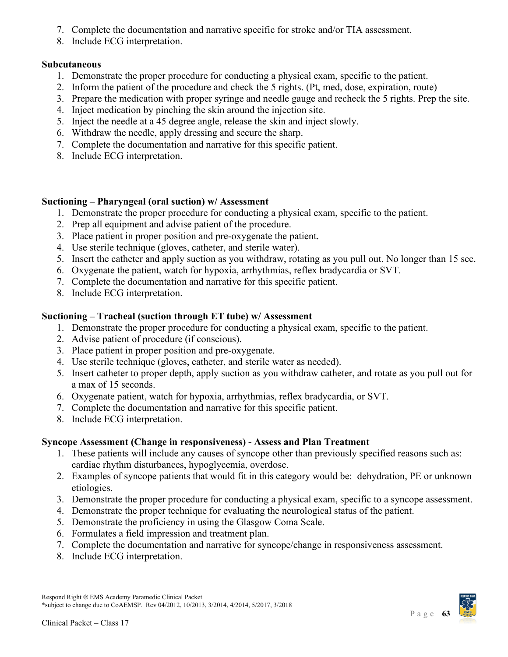- 7. Complete the documentation and narrative specific for stroke and/or TIA assessment.
- 8. Include ECG interpretation.

### **Subcutaneous**

- 1. Demonstrate the proper procedure for conducting a physical exam, specific to the patient.
- 2. Inform the patient of the procedure and check the 5 rights. (Pt, med, dose, expiration, route)
- 3. Prepare the medication with proper syringe and needle gauge and recheck the 5 rights. Prep the site.
- 4. Inject medication by pinching the skin around the injection site.
- 5. Inject the needle at a 45 degree angle, release the skin and inject slowly.
- 6. Withdraw the needle, apply dressing and secure the sharp.
- 7. Complete the documentation and narrative for this specific patient.
- 8. Include ECG interpretation.

# **Suctioning – Pharyngeal (oral suction) w/ Assessment**

- 1. Demonstrate the proper procedure for conducting a physical exam, specific to the patient.
- 2. Prep all equipment and advise patient of the procedure.
- 3. Place patient in proper position and pre-oxygenate the patient.
- 4. Use sterile technique (gloves, catheter, and sterile water).
- 5. Insert the catheter and apply suction as you withdraw, rotating as you pull out. No longer than 15 sec.
- 6. Oxygenate the patient, watch for hypoxia, arrhythmias, reflex bradycardia or SVT.
- 7. Complete the documentation and narrative for this specific patient.
- 8. Include ECG interpretation.

# **Suctioning – Tracheal (suction through ET tube) w/ Assessment**

- 1. Demonstrate the proper procedure for conducting a physical exam, specific to the patient.
- 2. Advise patient of procedure (if conscious).
- 3. Place patient in proper position and pre-oxygenate.
- 4. Use sterile technique (gloves, catheter, and sterile water as needed).
- 5. Insert catheter to proper depth, apply suction as you withdraw catheter, and rotate as you pull out for a max of 15 seconds.
- 6. Oxygenate patient, watch for hypoxia, arrhythmias, reflex bradycardia, or SVT.
- 7. Complete the documentation and narrative for this specific patient.
- 8. Include ECG interpretation.

# **Syncope Assessment (Change in responsiveness) - Assess and Plan Treatment**

- 1. These patients will include any causes of syncope other than previously specified reasons such as: cardiac rhythm disturbances, hypoglycemia, overdose.
- 2. Examples of syncope patients that would fit in this category would be: dehydration, PE or unknown etiologies.
- 3. Demonstrate the proper procedure for conducting a physical exam, specific to a syncope assessment.
- 4. Demonstrate the proper technique for evaluating the neurological status of the patient.
- 5. Demonstrate the proficiency in using the Glasgow Coma Scale.
- 6. Formulates a field impression and treatment plan.
- 7. Complete the documentation and narrative for syncope/change in responsiveness assessment.
- 8. Include ECG interpretation.

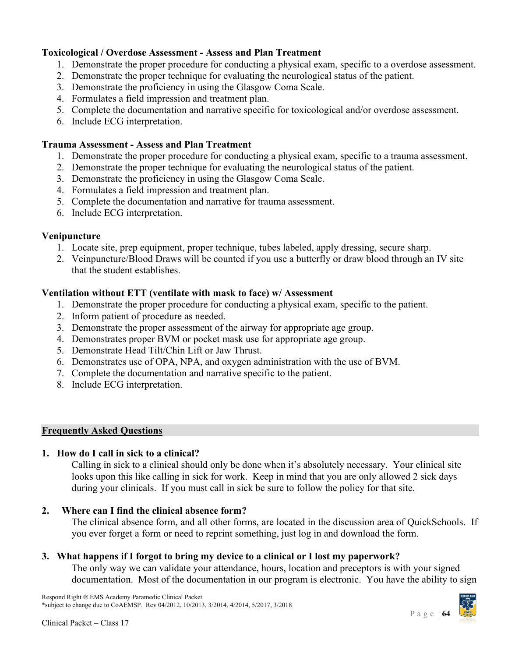### **Toxicological / Overdose Assessment - Assess and Plan Treatment**

- 1. Demonstrate the proper procedure for conducting a physical exam, specific to a overdose assessment.
- 2. Demonstrate the proper technique for evaluating the neurological status of the patient.
- 3. Demonstrate the proficiency in using the Glasgow Coma Scale.
- 4. Formulates a field impression and treatment plan.
- 5. Complete the documentation and narrative specific for toxicological and/or overdose assessment.
- 6. Include ECG interpretation.

### **Trauma Assessment - Assess and Plan Treatment**

- 1. Demonstrate the proper procedure for conducting a physical exam, specific to a trauma assessment.
- 2. Demonstrate the proper technique for evaluating the neurological status of the patient.
- 3. Demonstrate the proficiency in using the Glasgow Coma Scale.
- 4. Formulates a field impression and treatment plan.
- 5. Complete the documentation and narrative for trauma assessment.
- 6. Include ECG interpretation.

### **Venipuncture**

- 1. Locate site, prep equipment, proper technique, tubes labeled, apply dressing, secure sharp.
- 2. Veinpuncture/Blood Draws will be counted if you use a butterfly or draw blood through an IV site that the student establishes.

### **Ventilation without ETT (ventilate with mask to face) w/ Assessment**

- 1. Demonstrate the proper procedure for conducting a physical exam, specific to the patient.
- 2. Inform patient of procedure as needed.
- 3. Demonstrate the proper assessment of the airway for appropriate age group.
- 4. Demonstrates proper BVM or pocket mask use for appropriate age group.
- 5. Demonstrate Head Tilt/Chin Lift or Jaw Thrust.
- 6. Demonstrates use of OPA, NPA, and oxygen administration with the use of BVM.
- 7. Complete the documentation and narrative specific to the patient.
- 8. Include ECG interpretation.

### <span id="page-63-0"></span>**Frequently Asked Questions**

### **1. How do I call in sick to a clinical?**

Calling in sick to a clinical should only be done when it's absolutely necessary. Your clinical site looks upon this like calling in sick for work. Keep in mind that you are only allowed 2 sick days during your clinicals. If you must call in sick be sure to follow the policy for that site.

### **2. Where can I find the clinical absence form?**

The clinical absence form, and all other forms, are located in the discussion area of QuickSchools. If you ever forget a form or need to reprint something, just log in and download the form.

### **3. What happens if I forgot to bring my device to a clinical or I lost my paperwork?**

The only way we can validate your attendance, hours, location and preceptors is with your signed documentation. Most of the documentation in our program is electronic. You have the ability to sign

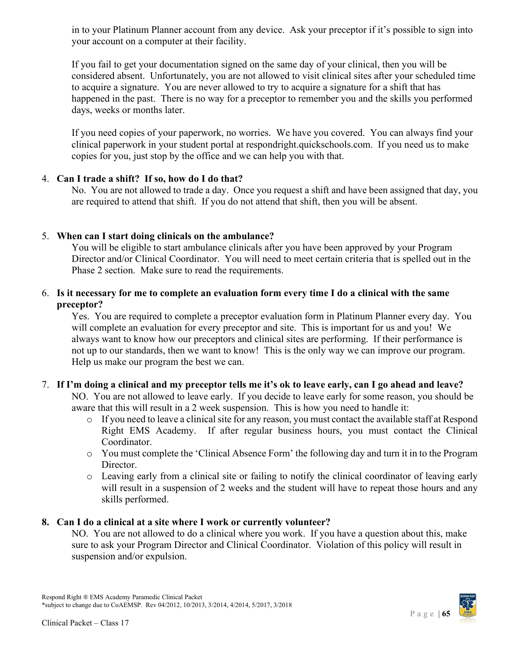in to your Platinum Planner account from any device. Ask your preceptor if it's possible to sign into your account on a computer at their facility.

If you fail to get your documentation signed on the same day of your clinical, then you will be considered absent. Unfortunately, you are not allowed to visit clinical sites after your scheduled time to acquire a signature. You are never allowed to try to acquire a signature for a shift that has happened in the past. There is no way for a preceptor to remember you and the skills you performed days, weeks or months later.

If you need copies of your paperwork, no worries. We have you covered. You can always find your clinical paperwork in your student portal at respondright.quickschools.com. If you need us to make copies for you, just stop by the office and we can help you with that.

### 4. **Can I trade a shift? If so, how do I do that?**

No. You are not allowed to trade a day. Once you request a shift and have been assigned that day, you are required to attend that shift. If you do not attend that shift, then you will be absent.

### 5. **When can I start doing clinicals on the ambulance?**

You will be eligible to start ambulance clinicals after you have been approved by your Program Director and/or Clinical Coordinator. You will need to meet certain criteria that is spelled out in the Phase 2 section. Make sure to read the requirements.

### 6. **Is it necessary for me to complete an evaluation form every time I do a clinical with the same preceptor?**

Yes. You are required to complete a preceptor evaluation form in Platinum Planner every day. You will complete an evaluation for every preceptor and site. This is important for us and you! We always want to know how our preceptors and clinical sites are performing. If their performance is not up to our standards, then we want to know! This is the only way we can improve our program. Help us make our program the best we can.

### 7. **If I'm doing a clinical and my preceptor tells me it's ok to leave early, can I go ahead and leave?**

NO. You are not allowed to leave early. If you decide to leave early for some reason, you should be aware that this will result in a 2 week suspension. This is how you need to handle it:

- o If you need to leave a clinical site for any reason, you must contact the available staff at Respond Right EMS Academy. If after regular business hours, you must contact the Clinical Coordinator.
- o You must complete the 'Clinical Absence Form' the following day and turn it in to the Program Director.
- o Leaving early from a clinical site or failing to notify the clinical coordinator of leaving early will result in a suspension of 2 weeks and the student will have to repeat those hours and any skills performed.

### **8. Can I do a clinical at a site where I work or currently volunteer?**

NO. You are not allowed to do a clinical where you work. If you have a question about this, make sure to ask your Program Director and Clinical Coordinator. Violation of this policy will result in suspension and/or expulsion.